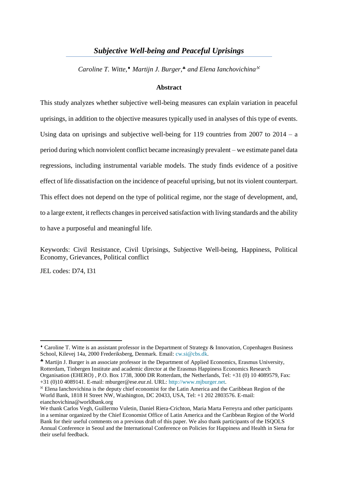# *Subjective Well-being and Peaceful Uprisings*

*Caroline T. Witte, Martijn J. Burger, and Elena Ianchovichina*<sup>*N*</sup>

### **Abstract**

This study analyzes whether subjective well-being measures can explain variation in peaceful uprisings, in addition to the objective measures typically used in analyses of this type of events. Using data on uprisings and subjective well-being for 119 countries from 2007 to 2014 – a period during which nonviolent conflict became increasingly prevalent – we estimate panel data regressions, including instrumental variable models. The study finds evidence of a positive effect of life dissatisfaction on the incidence of peaceful uprising, but not its violent counterpart. This effect does not depend on the type of political regime, nor the stage of development, and, to a large extent, it reflects changes in perceived satisfaction with living standards and the ability to have a purposeful and meaningful life.

Keywords: Civil Resistance, Civil Uprisings, Subjective Well-being, Happiness, Political Economy, Grievances, Political conflict

JEL codes: D74, I31

**.** 

Caroline T. Witte is an assistant professor in the Department of Strategy & Innovation, Copenhagen Business School, Kilevej 14a, 2000 Frederiksberg, Denmark. Email: [cw.si@cbs.dk.](mailto:cw.si@cbs.dk)

Martijn J. Burger is an associate professor in the Department of Applied Economics, Erasmus University, Rotterdam, Tinbergen Institute and academic director at the Erasmus Happiness Economics Research Organisation (EHERO) , P.O. Box 1738, 3000 DR Rotterdam, the Netherlands, Tel: +31 (0) 10 4089579, Fax: +31 (0)10 4089141. E-mail: mburger@ese.eur.nl. URL: [http://www.mjburger.net.](http://www.mjburger.net/)

Elena Ianchovichina is the deputy chief economist for the Latin America and the Caribbean Region of the World Bank, 1818 H Street NW, Washington, DC 20433, USA, Tel: +1 202 2803576. E-mail: eianchovichina@worldbank.org

We thank Carlos Vegh, Guillermo Vuletin, Daniel Riera-Crichton, Maria Marta Ferreyra and other participants in a seminar organized by the Chief Economist Office of Latin America and the Caribbean Region of the World Bank for their useful comments on a previous draft of this paper. We also thank participants of the ISQOLS Annual Conference in Seoul and the International Conference on Policies for Happiness and Health in Siena for their useful feedback.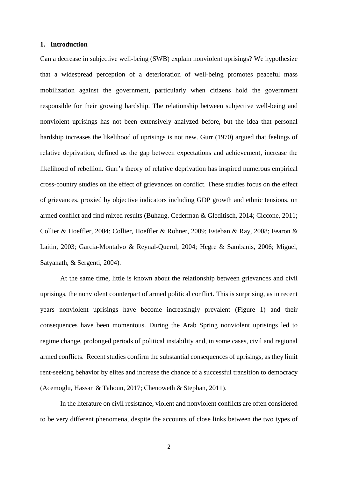## **1. Introduction**

Can a decrease in subjective well-being (SWB) explain nonviolent uprisings? We hypothesize that a widespread perception of a deterioration of well-being promotes peaceful mass mobilization against the government, particularly when citizens hold the government responsible for their growing hardship. The relationship between subjective well-being and nonviolent uprisings has not been extensively analyzed before, but the idea that personal hardship increases the likelihood of uprisings is not new. Gurr (1970) argued that feelings of relative deprivation, defined as the gap between expectations and achievement, increase the likelihood of rebellion. Gurr's theory of relative deprivation has inspired numerous empirical cross-country studies on the effect of grievances on conflict. These studies focus on the effect of grievances, proxied by objective indicators including GDP growth and ethnic tensions, on armed conflict and find mixed results (Buhaug, Cederman & Gleditisch, 2014; Ciccone, 2011; Collier & Hoeffler, 2004; Collier, Hoeffler & Rohner, 2009; Esteban & Ray, 2008; Fearon & Laitin, 2003; Garcia-Montalvo & Reynal-Querol, 2004; Hegre & Sambanis, 2006; Miguel, Satyanath, & Sergenti, 2004).

At the same time, little is known about the relationship between grievances and civil uprisings, the nonviolent counterpart of armed political conflict. This is surprising, as in recent years nonviolent uprisings have become increasingly prevalent (Figure 1) and their consequences have been momentous. During the Arab Spring nonviolent uprisings led to regime change, prolonged periods of political instability and, in some cases, civil and regional armed conflicts. Recent studies confirm the substantial consequences of uprisings, as they limit rent-seeking behavior by elites and increase the chance of a successful transition to democracy (Acemoglu, Hassan & Tahoun, 2017; Chenoweth & Stephan, 2011).

In the literature on civil resistance, violent and nonviolent conflicts are often considered to be very different phenomena, despite the accounts of close links between the two types of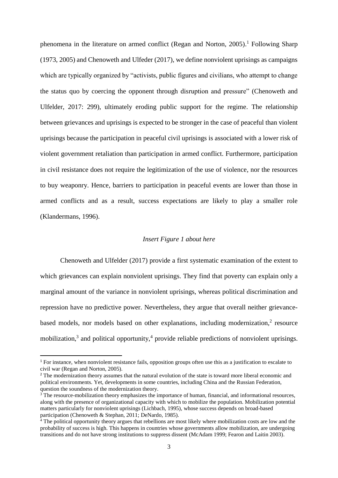phenomena in the literature on armed conflict (Regan and Norton, 2005).<sup>1</sup> Following Sharp (1973, 2005) and Chenoweth and Ulfeder (2017), we define nonviolent uprisings as campaigns which are typically organized by "activists, public figures and civilians, who attempt to change the status quo by coercing the opponent through disruption and pressure" (Chenoweth and Ulfelder, 2017: 299), ultimately eroding public support for the regime. The relationship between grievances and uprisings is expected to be stronger in the case of peaceful than violent uprisings because the participation in peaceful civil uprisings is associated with a lower risk of violent government retaliation than participation in armed conflict. Furthermore, participation in civil resistance does not require the legitimization of the use of violence, nor the resources to buy weaponry. Hence, barriers to participation in peaceful events are lower than those in armed conflicts and as a result, success expectations are likely to play a smaller role (Klandermans, 1996).

### *Insert Figure 1 about here*

Chenoweth and Ulfelder (2017) provide a first systematic examination of the extent to which grievances can explain nonviolent uprisings. They find that poverty can explain only a marginal amount of the variance in nonviolent uprisings, whereas political discrimination and repression have no predictive power. Nevertheless, they argue that overall neither grievancebased models, nor models based on other explanations, including modernization, $2$  resource mobilization,<sup>3</sup> and political opportunity,<sup>4</sup> provide reliable predictions of nonviolent uprisings.

**.** 

<sup>&</sup>lt;sup>1</sup> For instance, when nonviolent resistance fails, opposition groups often use this as a justification to escalate to civil war (Regan and Norton, 2005).

<sup>&</sup>lt;sup>2</sup> The modernization theory assumes that the natural evolution of the state is toward more liberal economic and political environments. Yet, developments in some countries, including China and the Russian Federation, question the soundness of the modernization theory.

 $3$  The resource-mobilization theory emphasizes the importance of human, financial, and informational resources, along with the presence of organizational capacity with which to mobilize the population. Mobilization potential matters particularly for nonviolent uprisings (Lichbach, 1995), whose success depends on broad-based participation (Chenoweth & Stephan, 2011; DeNardo, 1985).

 $4$  The political opportunity theory argues that rebellions are most likely where mobilization costs are low and the probability of success is high. This happens in countries whose governments allow mobilization, are undergoing transitions and do not have strong institutions to suppress dissent (McAdam 1999; Fearon and Laitin 2003).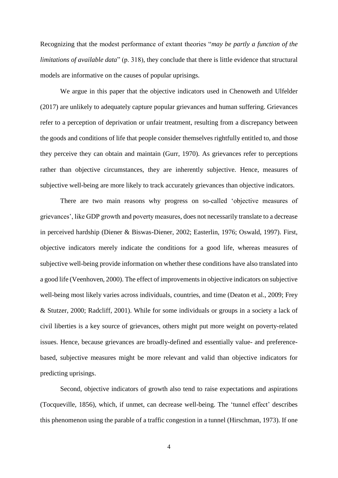Recognizing that the modest performance of extant theories "*may be partly a function of the limitations of available data*" (p. 318), they conclude that there is little evidence that structural models are informative on the causes of popular uprisings.

We argue in this paper that the objective indicators used in Chenoweth and Ulfelder (2017) are unlikely to adequately capture popular grievances and human suffering. Grievances refer to a perception of deprivation or unfair treatment, resulting from a discrepancy between the goods and conditions of life that people consider themselves rightfully entitled to, and those they perceive they can obtain and maintain (Gurr, 1970). As grievances refer to perceptions rather than objective circumstances, they are inherently subjective. Hence, measures of subjective well-being are more likely to track accurately grievances than objective indicators.

There are two main reasons why progress on so-called 'objective measures of grievances', like GDP growth and poverty measures, does not necessarily translate to a decrease in perceived hardship (Diener & Biswas-Diener, 2002; Easterlin, 1976; Oswald, 1997). First, objective indicators merely indicate the conditions for a good life, whereas measures of subjective well-being provide information on whether these conditions have also translated into a good life (Veenhoven, 2000). The effect of improvements in objective indicators on subjective well-being most likely varies across individuals, countries, and time (Deaton et al., 2009; Frey & Stutzer, 2000; Radcliff, 2001). While for some individuals or groups in a society a lack of civil liberties is a key source of grievances, others might put more weight on poverty-related issues. Hence, because grievances are broadly-defined and essentially value- and preferencebased, subjective measures might be more relevant and valid than objective indicators for predicting uprisings.

Second, objective indicators of growth also tend to raise expectations and aspirations (Tocqueville, 1856), which, if unmet, can decrease well-being. The 'tunnel effect' describes this phenomenon using the parable of a traffic congestion in a tunnel (Hirschman, 1973). If one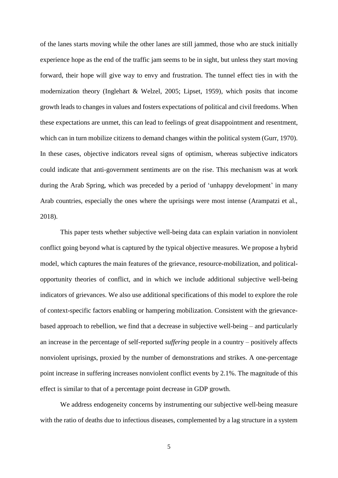of the lanes starts moving while the other lanes are still jammed, those who are stuck initially experience hope as the end of the traffic jam seems to be in sight, but unless they start moving forward, their hope will give way to envy and frustration. The tunnel effect ties in with the modernization theory (Inglehart & Welzel, 2005; Lipset, 1959), which posits that income growth leads to changes in values and fosters expectations of political and civil freedoms. When these expectations are unmet, this can lead to feelings of great disappointment and resentment, which can in turn mobilize citizens to demand changes within the political system (Gurr, 1970). In these cases, objective indicators reveal signs of optimism, whereas subjective indicators could indicate that anti-government sentiments are on the rise. This mechanism was at work during the Arab Spring, which was preceded by a period of 'unhappy development' in many Arab countries, especially the ones where the uprisings were most intense (Arampatzi et al., 2018).

This paper tests whether subjective well-being data can explain variation in nonviolent conflict going beyond what is captured by the typical objective measures. We propose a hybrid model, which captures the main features of the grievance, resource-mobilization, and politicalopportunity theories of conflict, and in which we include additional subjective well-being indicators of grievances. We also use additional specifications of this model to explore the role of context-specific factors enabling or hampering mobilization. Consistent with the grievancebased approach to rebellion, we find that a decrease in subjective well-being – and particularly an increase in the percentage of self-reported *suffering* people in a country – positively affects nonviolent uprisings, proxied by the number of demonstrations and strikes. A one-percentage point increase in suffering increases nonviolent conflict events by 2.1%. The magnitude of this effect is similar to that of a percentage point decrease in GDP growth.

We address endogeneity concerns by instrumenting our subjective well-being measure with the ratio of deaths due to infectious diseases, complemented by a lag structure in a system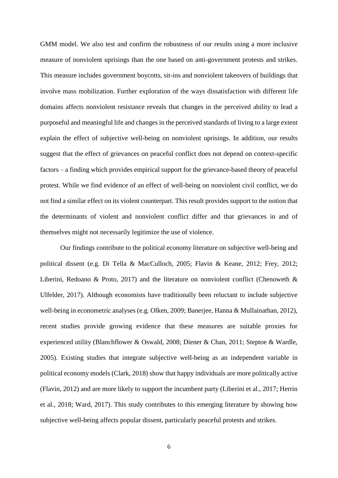GMM model. We also test and confirm the robustness of our results using a more inclusive measure of nonviolent uprisings than the one based on anti-government protests and strikes. This measure includes government boycotts, sit-ins and nonviolent takeovers of buildings that involve mass mobilization. Further exploration of the ways dissatisfaction with different life domains affects nonviolent resistance reveals that changes in the perceived ability to lead a purposeful and meaningful life and changes in the perceived standards of living to a large extent explain the effect of subjective well-being on nonviolent uprisings. In addition, our results suggest that the effect of grievances on peaceful conflict does not depend on context-specific factors – a finding which provides empirical support for the grievance-based theory of peaceful protest. While we find evidence of an effect of well-being on nonviolent civil conflict, we do not find a similar effect on its violent counterpart. This result provides support to the notion that the determinants of violent and nonviolent conflict differ and that grievances in and of themselves might not necessarily legitimize the use of violence.

Our findings contribute to the political economy literature on subjective well-being and political dissent (e.g. Di Tella & MacCulloch, 2005; Flavin & Keane, 2012; Frey, 2012; Liberini, Redoano & Proto, 2017) and the literature on nonviolent conflict (Chenoweth  $\&$ Ulfelder, 2017). Although economists have traditionally been reluctant to include subjective well-being in econometric analyses (e.g. Olken, 2009; Banerjee, Hanna & Mullainathan, 2012), recent studies provide growing evidence that these measures are suitable proxies for experienced utility (Blanchflower & Oswald, 2008; Diener & Chan, 2011; Steptoe & Wardle, 2005). Existing studies that integrate subjective well-being as an independent variable in political economy models (Clark, 2018) show that happy individuals are more politically active (Flavin, 2012) and are more likely to support the incumbent party (Liberini et al., 2017; Herrin et al., 2018; Ward, 2017). This study contributes to this emerging literature by showing how subjective well-being affects popular dissent, particularly peaceful protests and strikes.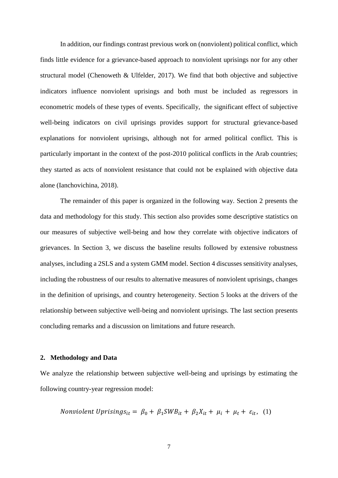In addition, our findings contrast previous work on (nonviolent) political conflict, which finds little evidence for a grievance-based approach to nonviolent uprisings nor for any other structural model (Chenoweth & Ulfelder, 2017). We find that both objective and subjective indicators influence nonviolent uprisings and both must be included as regressors in econometric models of these types of events. Specifically, the significant effect of subjective well-being indicators on civil uprisings provides support for structural grievance-based explanations for nonviolent uprisings, although not for armed political conflict. This is particularly important in the context of the post-2010 political conflicts in the Arab countries; they started as acts of nonviolent resistance that could not be explained with objective data alone (Ianchovichina, 2018).

The remainder of this paper is organized in the following way. Section 2 presents the data and methodology for this study. This section also provides some descriptive statistics on our measures of subjective well-being and how they correlate with objective indicators of grievances. In Section 3, we discuss the baseline results followed by extensive robustness analyses, including a 2SLS and a system GMM model. Section 4 discusses sensitivity analyses, including the robustness of our results to alternative measures of nonviolent uprisings, changes in the definition of uprisings, and country heterogeneity. Section 5 looks at the drivers of the relationship between subjective well-being and nonviolent uprisings. The last section presents concluding remarks and a discussion on limitations and future research.

## **2. Methodology and Data**

We analyze the relationship between subjective well-being and uprisings by estimating the following country-year regression model:

$$
Nonviolent Uprisings_{it} = \beta_0 + \beta_1 SWB_{it} + \beta_2 X_{it} + \mu_i + \mu_t + \varepsilon_{it}, \quad (1)
$$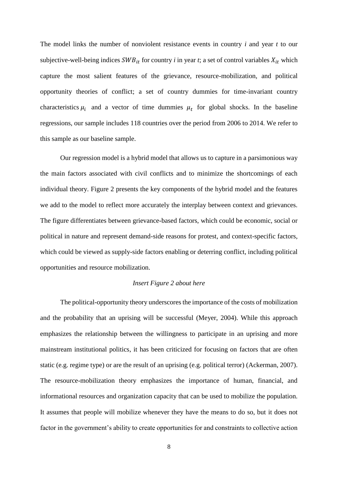The model links the number of nonviolent resistance events in country *i* and year *t* to our subjective-well-being indices  $SWB_{it}$  for country *i* in year *t*; a set of control variables  $X_{it}$  which capture the most salient features of the grievance, resource-mobilization, and political opportunity theories of conflict; a set of country dummies for time-invariant country characteristics  $\mu_i$  and a vector of time dummies  $\mu_t$  for global shocks. In the baseline regressions, our sample includes 118 countries over the period from 2006 to 2014. We refer to this sample as our baseline sample.

Our regression model is a hybrid model that allows us to capture in a parsimonious way the main factors associated with civil conflicts and to minimize the shortcomings of each individual theory. Figure 2 presents the key components of the hybrid model and the features we add to the model to reflect more accurately the interplay between context and grievances. The figure differentiates between grievance-based factors, which could be economic, social or political in nature and represent demand-side reasons for protest, and context-specific factors, which could be viewed as supply-side factors enabling or deterring conflict, including political opportunities and resource mobilization.

### *Insert Figure 2 about here*

The political-opportunity theory underscores the importance of the costs of mobilization and the probability that an uprising will be successful (Meyer, 2004). While this approach emphasizes the relationship between the willingness to participate in an uprising and more mainstream institutional politics, it has been criticized for focusing on factors that are often static (e.g. regime type) or are the result of an uprising (e.g. political terror) (Ackerman, 2007). The resource-mobilization theory emphasizes the importance of human, financial, and informational resources and organization capacity that can be used to mobilize the population. It assumes that people will mobilize whenever they have the means to do so, but it does not factor in the government's ability to create opportunities for and constraints to collective action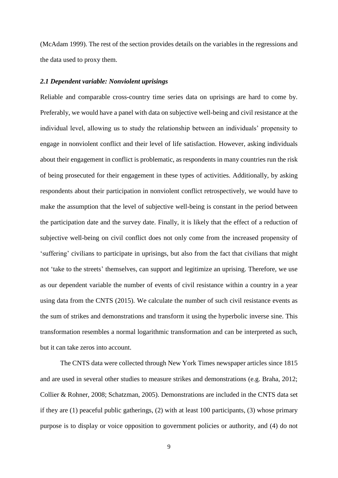(McAdam 1999). The rest of the section provides details on the variables in the regressions and the data used to proxy them.

### *2.1 Dependent variable: Nonviolent uprisings*

Reliable and comparable cross-country time series data on uprisings are hard to come by. Preferably, we would have a panel with data on subjective well-being and civil resistance at the individual level, allowing us to study the relationship between an individuals' propensity to engage in nonviolent conflict and their level of life satisfaction. However, asking individuals about their engagement in conflict is problematic, as respondents in many countries run the risk of being prosecuted for their engagement in these types of activities. Additionally, by asking respondents about their participation in nonviolent conflict retrospectively, we would have to make the assumption that the level of subjective well-being is constant in the period between the participation date and the survey date. Finally, it is likely that the effect of a reduction of subjective well-being on civil conflict does not only come from the increased propensity of 'suffering' civilians to participate in uprisings, but also from the fact that civilians that might not 'take to the streets' themselves, can support and legitimize an uprising. Therefore, we use as our dependent variable the number of events of civil resistance within a country in a year using data from the CNTS (2015). We calculate the number of such civil resistance events as the sum of strikes and demonstrations and transform it using the hyperbolic inverse sine. This transformation resembles a normal logarithmic transformation and can be interpreted as such, but it can take zeros into account.

The CNTS data were collected through New York Times newspaper articles since 1815 and are used in several other studies to measure strikes and demonstrations (e.g. Braha, 2012; Collier & Rohner, 2008; Schatzman, 2005). Demonstrations are included in the CNTS data set if they are (1) peaceful public gatherings, (2) with at least 100 participants, (3) whose primary purpose is to display or voice opposition to government policies or authority, and (4) do not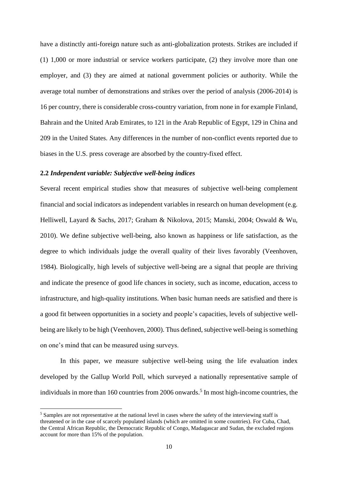have a distinctly anti-foreign nature such as anti-globalization protests. Strikes are included if (1) 1,000 or more industrial or service workers participate, (2) they involve more than one employer, and (3) they are aimed at national government policies or authority. While the average total number of demonstrations and strikes over the period of analysis (2006-2014) is 16 per country, there is considerable cross-country variation, from none in for example Finland, Bahrain and the United Arab Emirates, to 121 in the Arab Republic of Egypt, 129 in China and 209 in the United States. Any differences in the number of non-conflict events reported due to biases in the U.S. press coverage are absorbed by the country-fixed effect.

## **2.2** *Independent variable: Subjective well-being indices*

**.** 

Several recent empirical studies show that measures of subjective well-being complement financial and social indicators as independent variables in research on human development (e.g. Helliwell, Layard & Sachs, 2017; Graham & Nikolova, 2015; Manski, 2004; Oswald & Wu, 2010). We define subjective well-being, also known as happiness or life satisfaction, as the degree to which individuals judge the overall quality of their lives favorably (Veenhoven, 1984). Biologically, high levels of subjective well-being are a signal that people are thriving and indicate the presence of good life chances in society, such as income, education, access to infrastructure, and high-quality institutions. When basic human needs are satisfied and there is a good fit between opportunities in a society and people's capacities, levels of subjective wellbeing are likely to be high (Veenhoven, 2000). Thus defined, subjective well-being is something on one's mind that can be measured using surveys.

In this paper, we measure subjective well-being using the life evaluation index developed by the Gallup World Poll, which surveyed a nationally representative sample of individuals in more than 160 countries from 2006 onwards. 5 In most high-income countries, the

<sup>&</sup>lt;sup>5</sup> Samples are not representative at the national level in cases where the safety of the interviewing staff is threatened or in the case of scarcely populated islands (which are omitted in some countries). For Cuba, Chad, the Central African Republic, the Democratic Republic of Congo, Madagascar and Sudan, the excluded regions account for more than 15% of the population.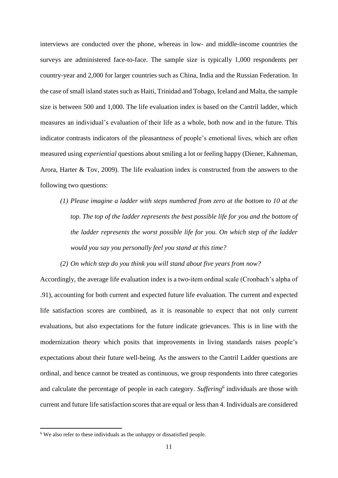interviews are conducted over the phone, whereas in low- and middle-income countries the surveys are administered face-to-face. The sample size is typically 1,000 respondents per country-year and 2,000 for larger countries such as China, India and the Russian Federation. In the case of small island states such as Haiti, Trinidad and Tobago, Iceland and Malta, the sample size is between 500 and 1,000. The life evaluation index is based on the Cantril ladder, which measures an individual's evaluation of their life as a whole, both now and in the future. This indicator contrasts indicators of the pleasantness of people's emotional lives, which are often measured using *experiential* questions about smiling a lot or feeling happy (Diener, Kahneman, Arora, Harter & Tov, 2009). The life evaluation index is constructed from the answers to the following two questions:

- *(1) Please imagine a ladder with steps numbered from zero at the bottom to 10 at the top. The top of the ladder represents the best possible life for you and the bottom of the ladder represents the worst possible life for you. On which step of the ladder would you say you personally feel you stand at this time?*
- *(2) On which step do you think you will stand about five years from now?*

Accordingly, the average life evaluation index is a two-item ordinal scale (Cronbach's alpha of .91), accounting for both current and expected future life evaluation. The current and expected life satisfaction scores are combined, as it is reasonable to expect that not only current evaluations, but also expectations for the future indicate grievances. This is in line with the modernization theory which posits that improvements in living standards raises people's expectations about their future well-being. As the answers to the Cantril Ladder questions are ordinal, and hence cannot be treated as continuous, we group respondents into three categories and calculate the percentage of people in each category. *Suffering<sup>6</sup>* individuals are those with current and future life satisfaction scores that are equal or less than 4. Individuals are considered

1

 $6$  We also refer to these individuals as the unhappy or dissatisfied people.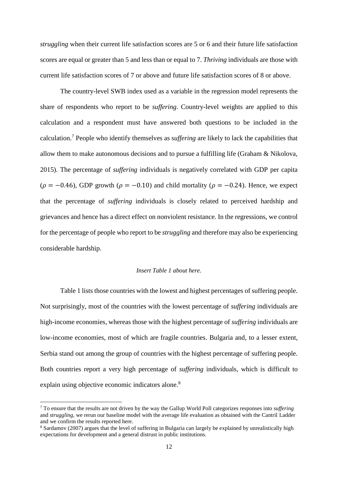*struggling* when their current life satisfaction scores are 5 or 6 and their future life satisfaction scores are equal or greater than 5 and less than or equal to 7. *Thriving* individuals are those with current life satisfaction scores of 7 or above and future life satisfaction scores of 8 or above.

The country-level SWB index used as a variable in the regression model represents the share of respondents who report to be *suffering*. Country-level weights are applied to this calculation and a respondent must have answered both questions to be included in the calculation.<sup>7</sup> People who identify themselves as s*uffering* are likely to lack the capabilities that allow them to make autonomous decisions and to pursue a fulfilling life (Graham & Nikolova, 2015). The percentage of *suffering* individuals is negatively correlated with GDP per capita  $(\rho = -0.46)$ , GDP growth  $(\rho = -0.10)$  and child mortality ( $\rho = -0.24$ ). Hence, we expect that the percentage of *suffering* individuals is closely related to perceived hardship and grievances and hence has a direct effect on nonviolent resistance. In the regressions, we control for the percentage of people who report to be *struggling* and therefore may also be experiencing considerable hardship.

## *Insert Table 1 about here.*

Table 1 lists those countries with the lowest and highest percentages of suffering people. Not surprisingly, most of the countries with the lowest percentage of *suffering* individuals are high-income economies, whereas those with the highest percentage of *suffering* individuals are low-income economies, most of which are fragile countries. Bulgaria and, to a lesser extent, Serbia stand out among the group of countries with the highest percentage of suffering people. Both countries report a very high percentage of *suffering* individuals, which is difficult to explain using objective economic indicators alone.<sup>8</sup>

1

<sup>7</sup> To ensure that the results are not driven by the way the Gallup World Poll categorizes responses into *suffering*  and *struggling,* we rerun our baseline model with the average life evaluation as obtained with the Cantril Ladder and we confirm the results reported here.

<sup>&</sup>lt;sup>8</sup> Sardamov (2007) argues that the level of suffering in Bulgaria can largely be explained by unrealistically high expectations for development and a general distrust in public institutions.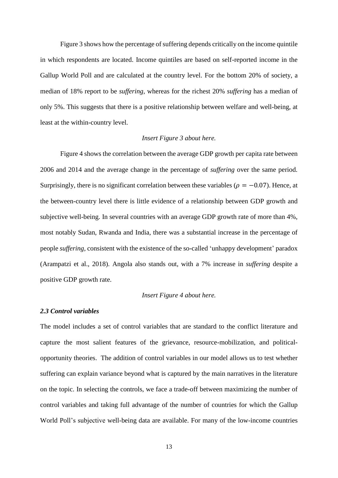Figure 3 shows how the percentage of suffering depends critically on the income quintile in which respondents are located. Income quintiles are based on self-reported income in the Gallup World Poll and are calculated at the country level. For the bottom 20% of society, a median of 18% report to be *suffering*, whereas for the richest 20% *suffering* has a median of only 5%. This suggests that there is a positive relationship between welfare and well-being, at least at the within-country level.

#### *Insert Figure 3 about here.*

Figure 4 shows the correlation between the average GDP growth per capita rate between 2006 and 2014 and the average change in the percentage of *suffering* over the same period. Surprisingly, there is no significant correlation between these variables ( $\rho = -0.07$ ). Hence, at the between-country level there is little evidence of a relationship between GDP growth and subjective well-being. In several countries with an average GDP growth rate of more than 4%, most notably Sudan, Rwanda and India, there was a substantial increase in the percentage of people *suffering,* consistent with the existence of the so-called 'unhappy development' paradox (Arampatzi et al., 2018). Angola also stands out, with a 7% increase in *suffering* despite a positive GDP growth rate.

## *Insert Figure 4 about here.*

### *2.3 Control variables*

The model includes a set of control variables that are standard to the conflict literature and capture the most salient features of the grievance, resource-mobilization, and politicalopportunity theories. The addition of control variables in our model allows us to test whether suffering can explain variance beyond what is captured by the main narratives in the literature on the topic. In selecting the controls, we face a trade-off between maximizing the number of control variables and taking full advantage of the number of countries for which the Gallup World Poll's subjective well-being data are available. For many of the low-income countries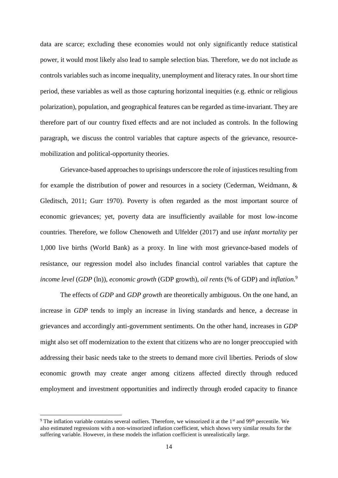data are scarce; excluding these economies would not only significantly reduce statistical power, it would most likely also lead to sample selection bias. Therefore, we do not include as controls variables such as income inequality, unemployment and literacy rates. In our short time period, these variables as well as those capturing horizontal inequities (e.g. ethnic or religious polarization), population, and geographical features can be regarded as time-invariant. They are therefore part of our country fixed effects and are not included as controls. In the following paragraph, we discuss the control variables that capture aspects of the grievance, resourcemobilization and political-opportunity theories.

Grievance-based approaches to uprisings underscore the role of injustices resulting from for example the distribution of power and resources in a society (Cederman, Weidmann, & Gleditsch, 2011; Gurr 1970). Poverty is often regarded as the most important source of economic grievances; yet, poverty data are insufficiently available for most low-income countries. Therefore, we follow Chenoweth and Ulfelder (2017) and use *infant mortality* per 1,000 live births (World Bank) as a proxy. In line with most grievance-based models of resistance, our regression model also includes financial control variables that capture the *income level* (*GDP* (ln)), *economic growth* (GDP growth), *oil rents* (% of GDP) and *inflation.* 9

The effects of *GDP* and *GDP* growth are theoretically ambiguous. On the one hand, an increase in *GDP* tends to imply an increase in living standards and hence, a decrease in grievances and accordingly anti-government sentiments. On the other hand, increases in *GDP*  might also set off modernization to the extent that citizens who are no longer preoccupied with addressing their basic needs take to the streets to demand more civil liberties. Periods of slow economic growth may create anger among citizens affected directly through reduced employment and investment opportunities and indirectly through eroded capacity to finance

**.** 

<sup>&</sup>lt;sup>9</sup> The inflation variable contains several outliers. Therefore, we winsorized it at the  $1<sup>st</sup>$  and 99<sup>th</sup> percentile. We also estimated regressions with a non-winsorized inflation coefficient, which shows very similar results for the suffering variable. However, in these models the inflation coefficient is unrealistically large.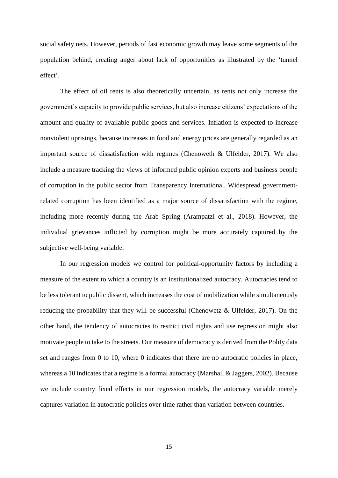social safety nets. However, periods of fast economic growth may leave some segments of the population behind, creating anger about lack of opportunities as illustrated by the 'tunnel effect'.

The effect of oil rents is also theoretically uncertain, as rents not only increase the government's capacity to provide public services, but also increase citizens' expectations of the amount and quality of available public goods and services. Inflation is expected to increase nonviolent uprisings, because increases in food and energy prices are generally regarded as an important source of dissatisfaction with regimes (Chenoweth & Ulfelder, 2017). We also include a measure tracking the views of informed public opinion experts and business people of corruption in the public sector from Transparency International. Widespread governmentrelated corruption has been identified as a major source of dissatisfaction with the regime, including more recently during the Arab Spring (Arampatzi et al., 2018). However, the individual grievances inflicted by corruption might be more accurately captured by the subjective well-being variable.

In our regression models we control for political-opportunity factors by including a measure of the extent to which a country is an institutionalized autocracy. Autocracies tend to be less tolerant to public dissent, which increases the cost of mobilization while simultaneously reducing the probability that they will be successful (Chenowetz & Ulfelder, 2017). On the other hand, the tendency of autocracies to restrict civil rights and use repression might also motivate people to take to the streets. Our measure of democracy is derived from the Polity data set and ranges from 0 to 10, where 0 indicates that there are no autocratic policies in place, whereas a 10 indicates that a regime is a formal autocracy (Marshall & Jaggers, 2002). Because we include country fixed effects in our regression models, the autocracy variable merely captures variation in autocratic policies over time rather than variation between countries.

15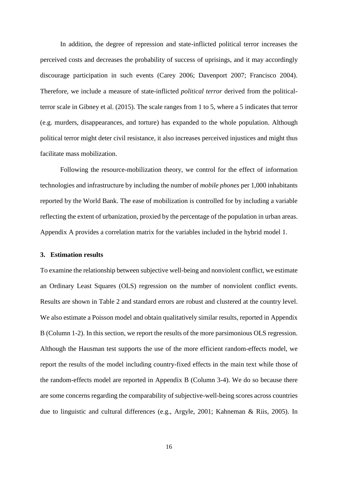In addition, the degree of repression and state-inflicted political terror increases the perceived costs and decreases the probability of success of uprisings, and it may accordingly discourage participation in such events (Carey 2006; Davenport 2007; Francisco 2004). Therefore, we include a measure of state-inflicted *political terror* derived from the politicalterror scale in Gibney et al. (2015). The scale ranges from 1 to 5, where a 5 indicates that terror (e.g. murders, disappearances, and torture) has expanded to the whole population. Although political terror might deter civil resistance, it also increases perceived injustices and might thus facilitate mass mobilization.

Following the resource-mobilization theory, we control for the effect of information technologies and infrastructure by including the number of *mobile phones* per 1,000 inhabitants reported by the World Bank. The ease of mobilization is controlled for by including a variable reflecting the extent of urbanization, proxied by the percentage of the population in urban areas. Appendix A provides a correlation matrix for the variables included in the hybrid model 1.

#### **3. Estimation results**

To examine the relationship between subjective well-being and nonviolent conflict, we estimate an Ordinary Least Squares (OLS) regression on the number of nonviolent conflict events. Results are shown in Table 2 and standard errors are robust and clustered at the country level. We also estimate a Poisson model and obtain qualitatively similar results, reported in Appendix B (Column 1-2). In this section, we report the results of the more parsimonious OLS regression. Although the Hausman test supports the use of the more efficient random-effects model, we report the results of the model including country-fixed effects in the main text while those of the random-effects model are reported in Appendix B (Column 3-4). We do so because there are some concerns regarding the comparability of subjective-well-being scores across countries due to linguistic and cultural differences (e.g., Argyle, 2001; Kahneman & Riis, 2005). In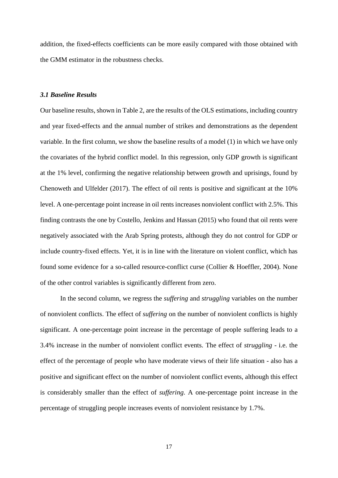addition, the fixed-effects coefficients can be more easily compared with those obtained with the GMM estimator in the robustness checks.

#### *3.1 Baseline Results*

Our baseline results, shown in Table 2, are the results of the OLS estimations, including country and year fixed-effects and the annual number of strikes and demonstrations as the dependent variable. In the first column, we show the baseline results of a model (1) in which we have only the covariates of the hybrid conflict model. In this regression, only GDP growth is significant at the 1% level, confirming the negative relationship between growth and uprisings, found by Chenoweth and Ulfelder (2017). The effect of oil rents is positive and significant at the 10% level. A one-percentage point increase in oil rents increases nonviolent conflict with 2.5%. This finding contrasts the one by Costello, Jenkins and Hassan (2015) who found that oil rents were negatively associated with the Arab Spring protests, although they do not control for GDP or include country-fixed effects. Yet, it is in line with the literature on violent conflict, which has found some evidence for a so-called resource-conflict curse (Collier & Hoeffler, 2004). None of the other control variables is significantly different from zero.

In the second column, we regress the *suffering* and *struggling* variables on the number of nonviolent conflicts. The effect of *suffering* on the number of nonviolent conflicts is highly significant. A one-percentage point increase in the percentage of people suffering leads to a 3.4% increase in the number of nonviolent conflict events. The effect of *struggling -* i.e. the effect of the percentage of people who have moderate views of their life situation - also has a positive and significant effect on the number of nonviolent conflict events, although this effect is considerably smaller than the effect of *suffering*. A one-percentage point increase in the percentage of struggling people increases events of nonviolent resistance by 1.7%.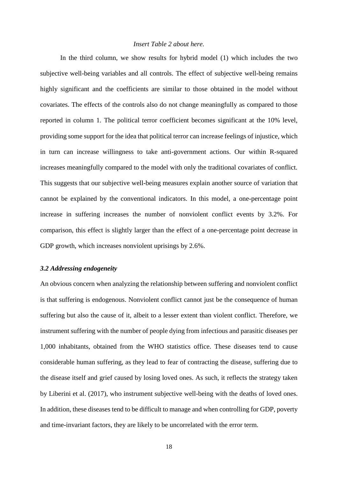## *Insert Table 2 about here.*

In the third column, we show results for hybrid model (1) which includes the two subjective well-being variables and all controls. The effect of subjective well-being remains highly significant and the coefficients are similar to those obtained in the model without covariates. The effects of the controls also do not change meaningfully as compared to those reported in column 1. The political terror coefficient becomes significant at the 10% level, providing some support for the idea that political terror can increase feelings of injustice, which in turn can increase willingness to take anti-government actions. Our within R-squared increases meaningfully compared to the model with only the traditional covariates of conflict. This suggests that our subjective well-being measures explain another source of variation that cannot be explained by the conventional indicators. In this model, a one-percentage point increase in suffering increases the number of nonviolent conflict events by 3.2%. For comparison, this effect is slightly larger than the effect of a one-percentage point decrease in GDP growth, which increases nonviolent uprisings by 2.6%.

#### *3.2 Addressing endogeneity*

An obvious concern when analyzing the relationship between suffering and nonviolent conflict is that suffering is endogenous. Nonviolent conflict cannot just be the consequence of human suffering but also the cause of it, albeit to a lesser extent than violent conflict. Therefore, we instrument suffering with the number of people dying from infectious and parasitic diseases per 1,000 inhabitants, obtained from the WHO statistics office. These diseases tend to cause considerable human suffering, as they lead to fear of contracting the disease, suffering due to the disease itself and grief caused by losing loved ones. As such, it reflects the strategy taken by Liberini et al. (2017), who instrument subjective well-being with the deaths of loved ones. In addition, these diseases tend to be difficult to manage and when controlling for GDP, poverty and time-invariant factors, they are likely to be uncorrelated with the error term.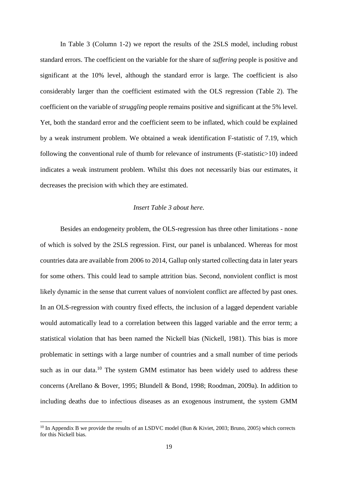In Table 3 (Column 1-2) we report the results of the 2SLS model, including robust standard errors. The coefficient on the variable for the share of *suffering* people is positive and significant at the 10% level, although the standard error is large. The coefficient is also considerably larger than the coefficient estimated with the OLS regression (Table 2). The coefficient on the variable of *struggling* people remains positive and significant at the 5% level. Yet, both the standard error and the coefficient seem to be inflated, which could be explained by a weak instrument problem. We obtained a weak identification F-statistic of 7.19, which following the conventional rule of thumb for relevance of instruments (F-statistic>10) indeed indicates a weak instrument problem. Whilst this does not necessarily bias our estimates, it decreases the precision with which they are estimated.

### *Insert Table 3 about here.*

Besides an endogeneity problem, the OLS-regression has three other limitations - none of which is solved by the 2SLS regression. First, our panel is unbalanced. Whereas for most countries data are available from 2006 to 2014, Gallup only started collecting data in later years for some others. This could lead to sample attrition bias. Second, nonviolent conflict is most likely dynamic in the sense that current values of nonviolent conflict are affected by past ones. In an OLS-regression with country fixed effects, the inclusion of a lagged dependent variable would automatically lead to a correlation between this lagged variable and the error term; a statistical violation that has been named the Nickell bias (Nickell, 1981). This bias is more problematic in settings with a large number of countries and a small number of time periods such as in our data.<sup>10</sup> The system GMM estimator has been widely used to address these concerns (Arellano & Bover, 1995; Blundell & Bond, 1998; Roodman, 2009a). In addition to including deaths due to infectious diseases as an exogenous instrument, the system GMM

 $\overline{\phantom{a}}$ 

<sup>&</sup>lt;sup>10</sup> In Appendix B we provide the results of an LSDVC model (Bun & Kiviet, 2003; Bruno, 2005) which corrects for this Nickell bias.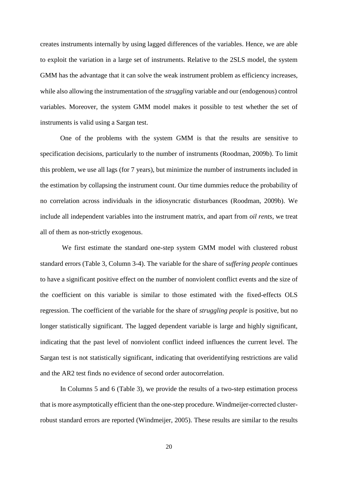creates instruments internally by using lagged differences of the variables. Hence, we are able to exploit the variation in a large set of instruments. Relative to the 2SLS model, the system GMM has the advantage that it can solve the weak instrument problem as efficiency increases, while also allowing the instrumentation of the *struggling* variable and our (endogenous) control variables. Moreover, the system GMM model makes it possible to test whether the set of instruments is valid using a Sargan test.

One of the problems with the system GMM is that the results are sensitive to specification decisions, particularly to the number of instruments (Roodman, 2009b). To limit this problem, we use all lags (for 7 years), but minimize the number of instruments included in the estimation by collapsing the instrument count. Our time dummies reduce the probability of no correlation across individuals in the idiosyncratic disturbances (Roodman, 2009b). We include all independent variables into the instrument matrix, and apart from *oil rents*, we treat all of them as non-strictly exogenous.

We first estimate the standard one-step system GMM model with clustered robust standard errors (Table 3, Column 3-4). The variable for the share of s*uffering people* continues to have a significant positive effect on the number of nonviolent conflict events and the size of the coefficient on this variable is similar to those estimated with the fixed-effects OLS regression. The coefficient of the variable for the share of *struggling people* is positive, but no longer statistically significant. The lagged dependent variable is large and highly significant, indicating that the past level of nonviolent conflict indeed influences the current level. The Sargan test is not statistically significant, indicating that overidentifying restrictions are valid and the AR2 test finds no evidence of second order autocorrelation.

In Columns 5 and 6 (Table 3), we provide the results of a two-step estimation process that is more asymptotically efficient than the one-step procedure. Windmeijer-corrected clusterrobust standard errors are reported (Windmeijer, 2005). These results are similar to the results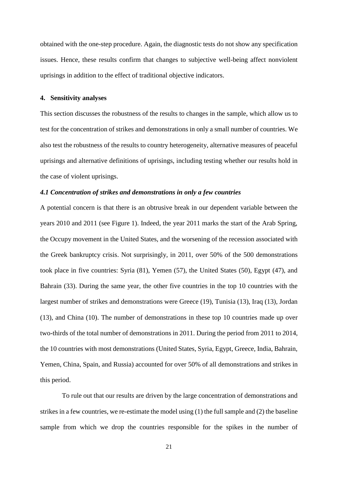obtained with the one-step procedure. Again, the diagnostic tests do not show any specification issues. Hence, these results confirm that changes to subjective well-being affect nonviolent uprisings in addition to the effect of traditional objective indicators.

### **4. Sensitivity analyses**

This section discusses the robustness of the results to changes in the sample, which allow us to test for the concentration of strikes and demonstrations in only a small number of countries. We also test the robustness of the results to country heterogeneity, alternative measures of peaceful uprisings and alternative definitions of uprisings, including testing whether our results hold in the case of violent uprisings.

### *4.1 Concentration of strikes and demonstrations in only a few countries*

A potential concern is that there is an obtrusive break in our dependent variable between the years 2010 and 2011 (see Figure 1). Indeed, the year 2011 marks the start of the Arab Spring, the Occupy movement in the United States, and the worsening of the recession associated with the Greek bankruptcy crisis. Not surprisingly, in 2011, over 50% of the 500 demonstrations took place in five countries: Syria (81), Yemen (57), the United States (50), Egypt (47), and Bahrain (33). During the same year, the other five countries in the top 10 countries with the largest number of strikes and demonstrations were Greece (19), Tunisia (13), Iraq (13), Jordan (13), and China (10). The number of demonstrations in these top 10 countries made up over two-thirds of the total number of demonstrations in 2011. During the period from 2011 to 2014, the 10 countries with most demonstrations (United States, Syria, Egypt, Greece, India, Bahrain, Yemen, China, Spain, and Russia) accounted for over 50% of all demonstrations and strikes in this period.

To rule out that our results are driven by the large concentration of demonstrations and strikes in a few countries, we re-estimate the model using (1) the full sample and (2) the baseline sample from which we drop the countries responsible for the spikes in the number of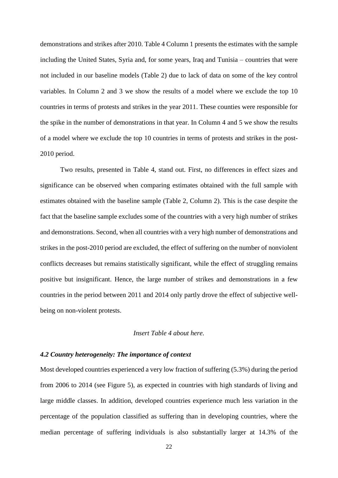demonstrations and strikes after 2010. Table 4 Column 1 presents the estimates with the sample including the United States, Syria and, for some years, Iraq and Tunisia – countries that were not included in our baseline models (Table 2) due to lack of data on some of the key control variables. In Column 2 and 3 we show the results of a model where we exclude the top 10 countries in terms of protests and strikes in the year 2011. These counties were responsible for the spike in the number of demonstrations in that year. In Column 4 and 5 we show the results of a model where we exclude the top 10 countries in terms of protests and strikes in the post-2010 period.

Two results, presented in Table 4, stand out. First, no differences in effect sizes and significance can be observed when comparing estimates obtained with the full sample with estimates obtained with the baseline sample (Table 2, Column 2). This is the case despite the fact that the baseline sample excludes some of the countries with a very high number of strikes and demonstrations. Second, when all countries with a very high number of demonstrations and strikes in the post-2010 period are excluded, the effect of suffering on the number of nonviolent conflicts decreases but remains statistically significant, while the effect of struggling remains positive but insignificant. Hence, the large number of strikes and demonstrations in a few countries in the period between 2011 and 2014 only partly drove the effect of subjective wellbeing on non-violent protests.

### *Insert Table 4 about here.*

## *4.2 Country heterogeneity: The importance of context*

Most developed countries experienced a very low fraction of suffering (5.3%) during the period from 2006 to 2014 (see Figure 5), as expected in countries with high standards of living and large middle classes. In addition, developed countries experience much less variation in the percentage of the population classified as suffering than in developing countries, where the median percentage of suffering individuals is also substantially larger at 14.3% of the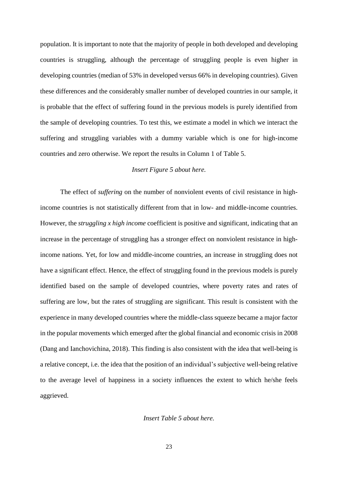population. It is important to note that the majority of people in both developed and developing countries is struggling, although the percentage of struggling people is even higher in developing countries (median of 53% in developed versus 66% in developing countries). Given these differences and the considerably smaller number of developed countries in our sample, it is probable that the effect of suffering found in the previous models is purely identified from the sample of developing countries. To test this, we estimate a model in which we interact the suffering and struggling variables with a dummy variable which is one for high-income countries and zero otherwise. We report the results in Column 1 of Table 5.

### *Insert Figure 5 about here.*

The effect of *suffering* on the number of nonviolent events of civil resistance in highincome countries is not statistically different from that in low- and middle-income countries. However, the *struggling x high income* coefficient is positive and significant, indicating that an increase in the percentage of struggling has a stronger effect on nonviolent resistance in highincome nations. Yet, for low and middle-income countries, an increase in struggling does not have a significant effect. Hence, the effect of struggling found in the previous models is purely identified based on the sample of developed countries, where poverty rates and rates of suffering are low, but the rates of struggling are significant. This result is consistent with the experience in many developed countries where the middle-class squeeze became a major factor in the popular movements which emerged after the global financial and economic crisis in 2008 (Dang and Ianchovichina, 2018). This finding is also consistent with the idea that well-being is a relative concept, i.e. the idea that the position of an individual's subjective well-being relative to the average level of happiness in a society influences the extent to which he/she feels aggrieved.

### *Insert Table 5 about here.*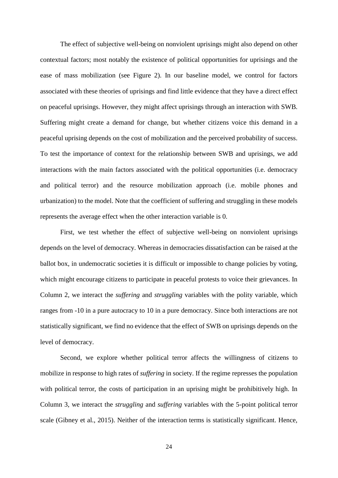The effect of subjective well-being on nonviolent uprisings might also depend on other contextual factors; most notably the existence of political opportunities for uprisings and the ease of mass mobilization (see Figure 2). In our baseline model, we control for factors associated with these theories of uprisings and find little evidence that they have a direct effect on peaceful uprisings. However, they might affect uprisings through an interaction with SWB*.*  Suffering might create a demand for change, but whether citizens voice this demand in a peaceful uprising depends on the cost of mobilization and the perceived probability of success. To test the importance of context for the relationship between SWB and uprisings, we add interactions with the main factors associated with the political opportunities (i.e. democracy and political terror) and the resource mobilization approach (i.e. mobile phones and urbanization) to the model. Note that the coefficient of suffering and struggling in these models represents the average effect when the other interaction variable is 0.

First, we test whether the effect of subjective well-being on nonviolent uprisings depends on the level of democracy. Whereas in democracies dissatisfaction can be raised at the ballot box, in undemocratic societies it is difficult or impossible to change policies by voting, which might encourage citizens to participate in peaceful protests to voice their grievances. In Column 2, we interact the *suffering* and *struggling* variables with the polity variable, which ranges from -10 in a pure autocracy to 10 in a pure democracy. Since both interactions are not statistically significant, we find no evidence that the effect of SWB on uprisings depends on the level of democracy.

Second, we explore whether political terror affects the willingness of citizens to mobilize in response to high rates of *suffering* in society. If the regime represses the population with political terror, the costs of participation in an uprising might be prohibitively high. In Column 3, we interact the *struggling* and *suffering* variables with the 5-point political terror scale (Gibney et al., 2015). Neither of the interaction terms is statistically significant. Hence,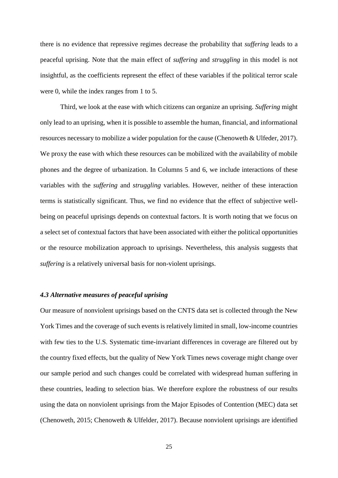there is no evidence that repressive regimes decrease the probability that *suffering* leads to a peaceful uprising. Note that the main effect of *suffering* and *struggling* in this model is not insightful, as the coefficients represent the effect of these variables if the political terror scale were 0, while the index ranges from 1 to 5.

Third, we look at the ease with which citizens can organize an uprising. *Suffering* might only lead to an uprising, when it is possible to assemble the human, financial, and informational resources necessary to mobilize a wider population for the cause (Chenoweth & Ulfeder, 2017). We proxy the ease with which these resources can be mobilized with the availability of mobile phones and the degree of urbanization. In Columns 5 and 6, we include interactions of these variables with the *suffering* and *struggling* variables. However, neither of these interaction terms is statistically significant. Thus, we find no evidence that the effect of subjective wellbeing on peaceful uprisings depends on contextual factors. It is worth noting that we focus on a select set of contextual factors that have been associated with either the political opportunities or the resource mobilization approach to uprisings. Nevertheless, this analysis suggests that *suffering* is a relatively universal basis for non-violent uprisings.

## *4.3 Alternative measures of peaceful uprising*

Our measure of nonviolent uprisings based on the CNTS data set is collected through the New York Times and the coverage of such events is relatively limited in small, low-income countries with few ties to the U.S. Systematic time-invariant differences in coverage are filtered out by the country fixed effects, but the quality of New York Times news coverage might change over our sample period and such changes could be correlated with widespread human suffering in these countries, leading to selection bias. We therefore explore the robustness of our results using the data on nonviolent uprisings from the Major Episodes of Contention (MEC) data set (Chenoweth, 2015; Chenoweth & Ulfelder, 2017). Because nonviolent uprisings are identified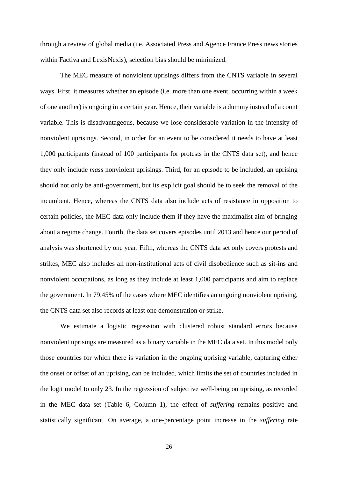through a review of global media (i.e. Associated Press and Agence France Press news stories within Factiva and LexisNexis), selection bias should be minimized.

The MEC measure of nonviolent uprisings differs from the CNTS variable in several ways. First, it measures whether an episode (i.e. more than one event, occurring within a week of one another) is ongoing in a certain year. Hence, their variable is a dummy instead of a count variable. This is disadvantageous, because we lose considerable variation in the intensity of nonviolent uprisings. Second, in order for an event to be considered it needs to have at least 1,000 participants (instead of 100 participants for protests in the CNTS data set), and hence they only include *mass* nonviolent uprisings. Third, for an episode to be included, an uprising should not only be anti-government, but its explicit goal should be to seek the removal of the incumbent. Hence, whereas the CNTS data also include acts of resistance in opposition to certain policies, the MEC data only include them if they have the maximalist aim of bringing about a regime change. Fourth, the data set covers episodes until 2013 and hence our period of analysis was shortened by one year. Fifth, whereas the CNTS data set only covers protests and strikes, MEC also includes all non-institutional acts of civil disobedience such as sit-ins and nonviolent occupations, as long as they include at least 1,000 participants and aim to replace the government. In 79.45% of the cases where MEC identifies an ongoing nonviolent uprising, the CNTS data set also records at least one demonstration or strike.

We estimate a logistic regression with clustered robust standard errors because nonviolent uprisings are measured as a binary variable in the MEC data set. In this model only those countries for which there is variation in the ongoing uprising variable, capturing either the onset or offset of an uprising, can be included, which limits the set of countries included in the logit model to only 23. In the regression of subjective well-being on uprising, as recorded in the MEC data set (Table 6, Column 1), the effect of *suffering* remains positive and statistically significant. On average, a one-percentage point increase in the *suffering* rate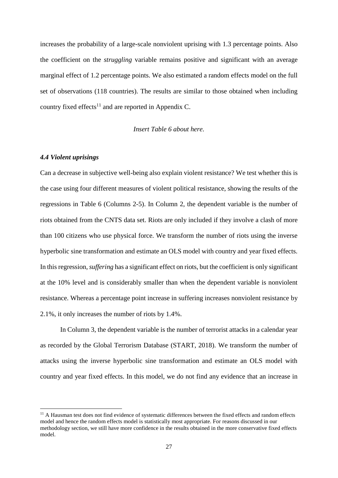increases the probability of a large-scale nonviolent uprising with 1.3 percentage points. Also the coefficient on the *struggling* variable remains positive and significant with an average marginal effect of 1.2 percentage points. We also estimated a random effects model on the full set of observations (118 countries). The results are similar to those obtained when including country fixed effects<sup>11</sup> and are reported in Appendix C.

## *Insert Table 6 about here.*

### *4.4 Violent uprisings*

**.** 

Can a decrease in subjective well-being also explain violent resistance? We test whether this is the case using four different measures of violent political resistance, showing the results of the regressions in Table 6 (Columns 2-5). In Column 2, the dependent variable is the number of riots obtained from the CNTS data set. Riots are only included if they involve a clash of more than 100 citizens who use physical force. We transform the number of riots using the inverse hyperbolic sine transformation and estimate an OLS model with country and year fixed effects. In this regression,*suffering* has a significant effect on riots, but the coefficient is only significant at the 10% level and is considerably smaller than when the dependent variable is nonviolent resistance. Whereas a percentage point increase in suffering increases nonviolent resistance by 2.1%, it only increases the number of riots by 1.4%.

In Column 3, the dependent variable is the number of terrorist attacks in a calendar year as recorded by the Global Terrorism Database (START, 2018). We transform the number of attacks using the inverse hyperbolic sine transformation and estimate an OLS model with country and year fixed effects. In this model, we do not find any evidence that an increase in

<sup>&</sup>lt;sup>11</sup> A Hausman test does not find evidence of systematic differences between the fixed effects and random effects model and hence the random effects model is statistically most appropriate. For reasons discussed in our methodology section, we still have more confidence in the results obtained in the more conservative fixed effects model.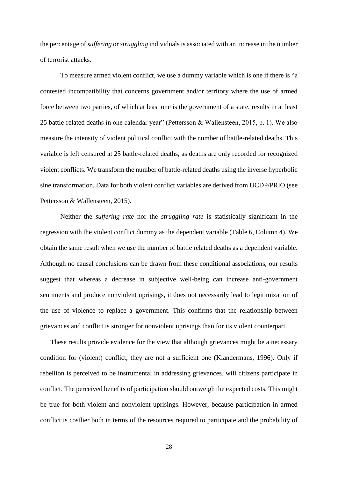the percentage of *suffering* or*struggling* individuals is associated with an increase in the number of terrorist attacks.

To measure armed violent conflict, we use a dummy variable which is one if there is "a contested incompatibility that concerns government and/or territory where the use of armed force between two parties, of which at least one is the government of a state, results in at least 25 battle-related deaths in one calendar year" (Pettersson & Wallensteen, 2015, p. 1). We also measure the intensity of violent political conflict with the number of battle-related deaths. This variable is left censured at 25 battle-related deaths, as deaths are only recorded for recognized violent conflicts. We transform the number of battle-related deaths using the inverse hyperbolic sine transformation. Data for both violent conflict variables are derived from UCDP/PRIO (see Pettersson & Wallensteen, 2015).

Neither the *suffering rate* nor the *struggling rate* is statistically significant in the regression with the violent conflict dummy as the dependent variable (Table 6, Column 4). We obtain the same result when we use the number of battle related deaths as a dependent variable. Although no causal conclusions can be drawn from these conditional associations, our results suggest that whereas a decrease in subjective well-being can increase anti-government sentiments and produce nonviolent uprisings, it does not necessarily lead to legitimization of the use of violence to replace a government. This confirms that the relationship between grievances and conflict is stronger for nonviolent uprisings than for its violent counterpart.

These results provide evidence for the view that although grievances might be a necessary condition for (violent) conflict, they are not a sufficient one (Klandermans, 1996). Only if rebellion is perceived to be instrumental in addressing grievances, will citizens participate in conflict. The perceived benefits of participation should outweigh the expected costs. This might be true for both violent and nonviolent uprisings. However, because participation in armed conflict is costlier both in terms of the resources required to participate and the probability of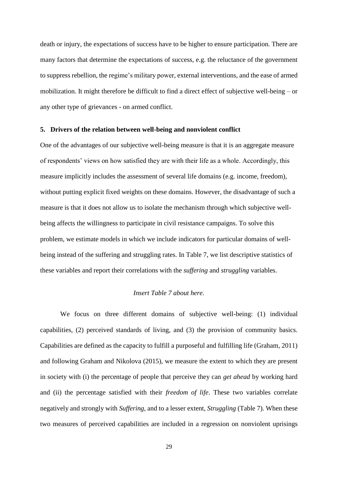death or injury, the expectations of success have to be higher to ensure participation. There are many factors that determine the expectations of success, e.g. the reluctance of the government to suppress rebellion, the regime's military power, external interventions, and the ease of armed mobilization. It might therefore be difficult to find a direct effect of subjective well-being – or any other type of grievances - on armed conflict.

#### **5. Drivers of the relation between well-being and nonviolent conflict**

One of the advantages of our subjective well-being measure is that it is an aggregate measure of respondents' views on how satisfied they are with their life as a whole. Accordingly, this measure implicitly includes the assessment of several life domains (e.g. income, freedom), without putting explicit fixed weights on these domains. However, the disadvantage of such a measure is that it does not allow us to isolate the mechanism through which subjective wellbeing affects the willingness to participate in civil resistance campaigns. To solve this problem, we estimate models in which we include indicators for particular domains of wellbeing instead of the suffering and struggling rates. In Table 7, we list descriptive statistics of these variables and report their correlations with the *suffering* and *struggling* variables.

## *Insert Table 7 about here.*

We focus on three different domains of subjective well-being: (1) individual capabilities, (2) perceived standards of living, and (3) the provision of community basics. Capabilities are defined as the capacity to fulfill a purposeful and fulfilling life (Graham, 2011) and following Graham and Nikolova (2015), we measure the extent to which they are present in society with (i) the percentage of people that perceive they can *get ahead* by working hard and (ii) the percentage satisfied with their *freedom of life*. These two variables correlate negatively and strongly with *Suffering*, and to a lesser extent, *Struggling* (Table 7). When these two measures of perceived capabilities are included in a regression on nonviolent uprisings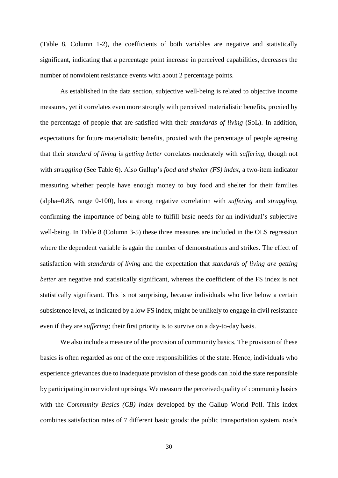(Table 8, Column 1-2), the coefficients of both variables are negative and statistically significant, indicating that a percentage point increase in perceived capabilities, decreases the number of nonviolent resistance events with about 2 percentage points.

As established in the data section, subjective well-being is related to objective income measures, yet it correlates even more strongly with perceived materialistic benefits, proxied by the percentage of people that are satisfied with their *standards of living* (SoL). In addition, expectations for future materialistic benefits, proxied with the percentage of people agreeing that their *standard of living is getting better* correlates moderately with *suffering,* though not with *struggling* (See Table 6). Also Gallup's *food and shelter (FS) index*, a two-item indicator measuring whether people have enough money to buy food and shelter for their families (alpha=0.86, range 0-100), has a strong negative correlation with *suffering* and *struggling,*  confirming the importance of being able to fulfill basic needs for an individual's subjective well-being. In Table 8 (Column 3-5) these three measures are included in the OLS regression where the dependent variable is again the number of demonstrations and strikes. The effect of satisfaction with *standards of living* and the expectation that *standards of living are getting better* are negative and statistically significant, whereas the coefficient of the FS index is not statistically significant. This is not surprising, because individuals who live below a certain subsistence level, as indicated by a low FS index, might be unlikely to engage in civil resistance even if they are *suffering;* their first priority is to survive on a day-to-day basis.

We also include a measure of the provision of community basics. The provision of these basics is often regarded as one of the core responsibilities of the state. Hence, individuals who experience grievances due to inadequate provision of these goods can hold the state responsible by participating in nonviolent uprisings. We measure the perceived quality of community basics with the *Community Basics (CB) index* developed by the Gallup World Poll. This index combines satisfaction rates of 7 different basic goods: the public transportation system, roads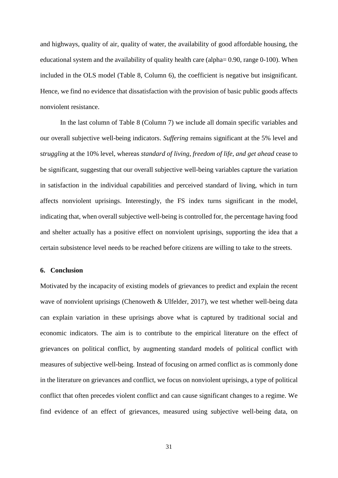and highways, quality of air, quality of water, the availability of good affordable housing, the educational system and the availability of quality health care (alpha= 0.90, range 0-100). When included in the OLS model (Table 8, Column 6), the coefficient is negative but insignificant. Hence, we find no evidence that dissatisfaction with the provision of basic public goods affects nonviolent resistance.

In the last column of Table 8 (Column 7) we include all domain specific variables and our overall subjective well-being indicators. *Suffering* remains significant at the 5% level and s*truggling* at the 10% level, whereas *standard of living*, *freedom of life*, *and get ahead* cease to be significant, suggesting that our overall subjective well-being variables capture the variation in satisfaction in the individual capabilities and perceived standard of living, which in turn affects nonviolent uprisings. Interestingly, the FS index turns significant in the model, indicating that, when overall subjective well-being is controlled for, the percentage having food and shelter actually has a positive effect on nonviolent uprisings, supporting the idea that a certain subsistence level needs to be reached before citizens are willing to take to the streets.

## **6. Conclusion**

Motivated by the incapacity of existing models of grievances to predict and explain the recent wave of nonviolent uprisings (Chenoweth & Ulfelder, 2017), we test whether well-being data can explain variation in these uprisings above what is captured by traditional social and economic indicators. The aim is to contribute to the empirical literature on the effect of grievances on political conflict, by augmenting standard models of political conflict with measures of subjective well-being. Instead of focusing on armed conflict as is commonly done in the literature on grievances and conflict, we focus on nonviolent uprisings, a type of political conflict that often precedes violent conflict and can cause significant changes to a regime. We find evidence of an effect of grievances, measured using subjective well-being data, on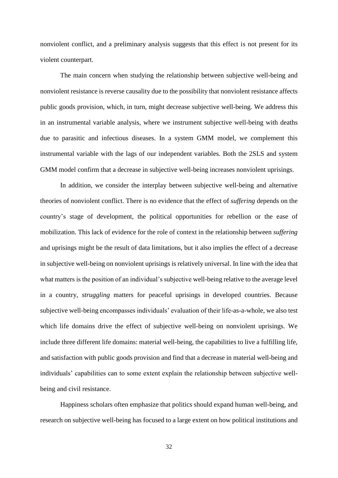nonviolent conflict, and a preliminary analysis suggests that this effect is not present for its violent counterpart.

The main concern when studying the relationship between subjective well-being and nonviolent resistance is reverse causality due to the possibility that nonviolent resistance affects public goods provision, which, in turn, might decrease subjective well-being. We address this in an instrumental variable analysis, where we instrument subjective well-being with deaths due to parasitic and infectious diseases. In a system GMM model, we complement this instrumental variable with the lags of our independent variables. Both the 2SLS and system GMM model confirm that a decrease in subjective well-being increases nonviolent uprisings.

In addition, we consider the interplay between subjective well-being and alternative theories of nonviolent conflict. There is no evidence that the effect of *suffering* depends on the country's stage of development, the political opportunities for rebellion or the ease of mobilization. This lack of evidence for the role of context in the relationship between *suffering*  and uprisings might be the result of data limitations, but it also implies the effect of a decrease in subjective well-being on nonviolent uprisings is relatively universal. In line with the idea that what matters is the position of an individual's subjective well-being relative to the average level in a country, *struggling* matters for peaceful uprisings in developed countries. Because subjective well-being encompasses individuals' evaluation of their life-as-a-whole, we also test which life domains drive the effect of subjective well-being on nonviolent uprisings. We include three different life domains: material well-being, the capabilities to live a fulfilling life, and satisfaction with public goods provision and find that a decrease in material well-being and individuals' capabilities can to some extent explain the relationship between subjective wellbeing and civil resistance.

Happiness scholars often emphasize that politics should expand human well-being, and research on subjective well-being has focused to a large extent on how political institutions and

32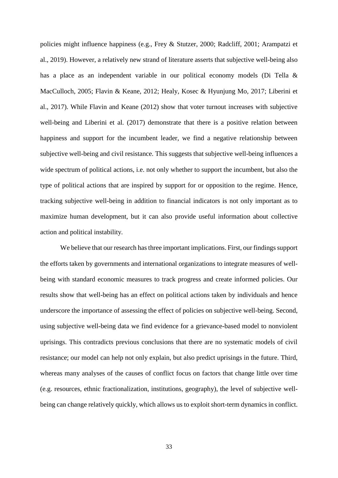policies might influence happiness (e.g., Frey & Stutzer, 2000; Radcliff, 2001; Arampatzi et al., 2019). However, a relatively new strand of literature asserts that subjective well-being also has a place as an independent variable in our political economy models (Di Tella & MacCulloch, 2005; Flavin & Keane, 2012; Healy, Kosec & Hyunjung Mo, 2017; Liberini et al., 2017). While Flavin and Keane (2012) show that voter turnout increases with subjective well-being and Liberini et al. (2017) demonstrate that there is a positive relation between happiness and support for the incumbent leader, we find a negative relationship between subjective well-being and civil resistance. This suggests that subjective well-being influences a wide spectrum of political actions, i.e. not only whether to support the incumbent, but also the type of political actions that are inspired by support for or opposition to the regime. Hence, tracking subjective well-being in addition to financial indicators is not only important as to maximize human development, but it can also provide useful information about collective action and political instability.

We believe that our research has three important implications. First, our findings support the efforts taken by governments and international organizations to integrate measures of wellbeing with standard economic measures to track progress and create informed policies. Our results show that well-being has an effect on political actions taken by individuals and hence underscore the importance of assessing the effect of policies on subjective well-being. Second, using subjective well-being data we find evidence for a grievance-based model to nonviolent uprisings. This contradicts previous conclusions that there are no systematic models of civil resistance; our model can help not only explain, but also predict uprisings in the future. Third, whereas many analyses of the causes of conflict focus on factors that change little over time (e.g. resources, ethnic fractionalization, institutions, geography), the level of subjective wellbeing can change relatively quickly, which allows us to exploit short-term dynamics in conflict.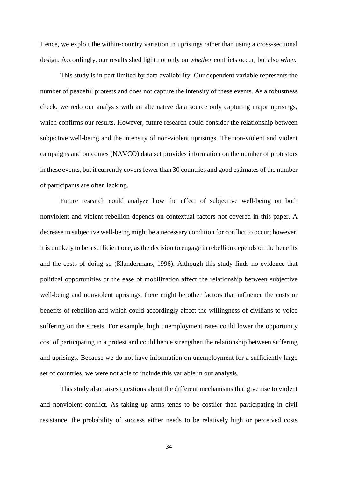Hence, we exploit the within-country variation in uprisings rather than using a cross-sectional design. Accordingly, our results shed light not only on *whether* conflicts occur, but also *when.*

This study is in part limited by data availability. Our dependent variable represents the number of peaceful protests and does not capture the intensity of these events. As a robustness check, we redo our analysis with an alternative data source only capturing major uprisings, which confirms our results. However, future research could consider the relationship between subjective well-being and the intensity of non-violent uprisings. The non-violent and violent campaigns and outcomes (NAVCO) data set provides information on the number of protestors in these events, but it currently covers fewer than 30 countries and good estimates of the number of participants are often lacking.

Future research could analyze how the effect of subjective well-being on both nonviolent and violent rebellion depends on contextual factors not covered in this paper. A decrease in subjective well-being might be a necessary condition for conflict to occur; however, it is unlikely to be a sufficient one, as the decision to engage in rebellion depends on the benefits and the costs of doing so (Klandermans, 1996). Although this study finds no evidence that political opportunities or the ease of mobilization affect the relationship between subjective well-being and nonviolent uprisings, there might be other factors that influence the costs or benefits of rebellion and which could accordingly affect the willingness of civilians to voice suffering on the streets. For example, high unemployment rates could lower the opportunity cost of participating in a protest and could hence strengthen the relationship between suffering and uprisings. Because we do not have information on unemployment for a sufficiently large set of countries, we were not able to include this variable in our analysis.

This study also raises questions about the different mechanisms that give rise to violent and nonviolent conflict. As taking up arms tends to be costlier than participating in civil resistance, the probability of success either needs to be relatively high or perceived costs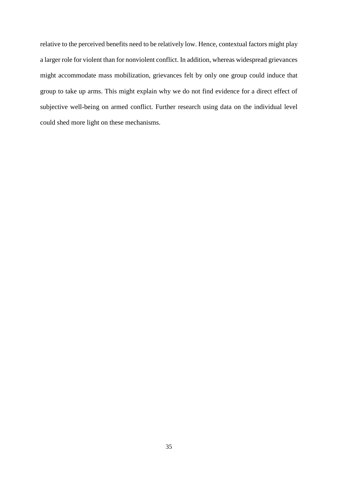relative to the perceived benefits need to be relatively low. Hence, contextual factors might play a larger role for violent than for nonviolent conflict. In addition, whereas widespread grievances might accommodate mass mobilization, grievances felt by only one group could induce that group to take up arms. This might explain why we do not find evidence for a direct effect of subjective well-being on armed conflict. Further research using data on the individual level could shed more light on these mechanisms.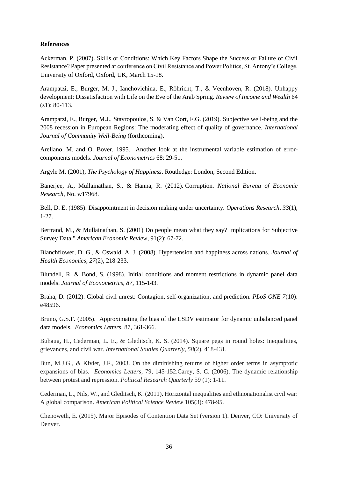### **References**

Ackerman, P. (2007). Skills or Conditions: Which Key Factors Shape the Success or Failure of Civil Resistance? Paper presented at conference on Civil Resistance and Power Politics, St. Antony's College, University of Oxford, Oxford, UK, March 15-18.

Arampatzi, E., Burger, M. J., Ianchovichina, E., Röhricht, T., & Veenhoven, R. (2018). Unhappy development: Dissatisfaction with Life on the Eve of the Arab Spring. *Review of Income and Wealth* 64 (s1): 80-113.

Arampatzi, E., Burger, M.J., Stavropoulos, S. & Van Oort, F.G. (2019). Subjective well-being and the 2008 recession in European Regions: The moderating effect of quality of governance. *International Journal of Community Well-Being* (forthcoming).

Arellano, M. and O. Bover. 1995. Another look at the instrumental variable estimation of errorcomponents models. *Journal of Econometrics* 68: 29-51.

Argyle M. (2001), *The Psychology of Happiness*. Routledge: London, Second Edition.

Banerjee, A., Mullainathan, S., & Hanna, R. (2012). Corruption. *National Bureau of Economic Research*, No. w17968.

Bell, D. E. (1985). Disappointment in decision making under uncertainty. *Operations Research*, *33*(1), 1-27.

Bertrand, M., & Mullainathan, S. (2001) Do people mean what they say? Implications for Subjective Survey Data." *American Economic Review*, 91(2): 67-72.

Blanchflower, D. G., & Oswald, A. J. (2008). Hypertension and happiness across nations. *Journal of Health Economics*, *27*(2), 218-233.

Blundell, R. & Bond, S. (1998). Initial conditions and moment restrictions in dynamic panel data models. *Journal of Econometrics, 87,* 115-143.

Braha, D. (2012). Global civil unrest: Contagion, self-organization, and prediction. *PLoS ONE 7*(10): e48596.

Bruno, G.S.F. (2005). Approximating the bias of the LSDV estimator for dynamic unbalanced panel data models. *Economics Letters*, 87, 361-366.

Buhaug, H., Cederman, L. E., & Gleditsch, K. S. (2014). Square pegs in round holes: Inequalities, grievances, and civil war. *International Studies Quarterly*, *58*(2), 418-431.

Bun, M.J.G., & Kiviet, J.F., 2003. On the diminishing returns of higher order terms in asymptotic expansions of bias. *Economics Letters*, 79, 145-152.Carey, S. C. (2006). The dynamic relationship between protest and repression. *Political Research Quarterly* 59 (1): 1-11.

Cederman, L., Nils, W., and Gleditsch, K. (2011). Horizontal inequalities and ethnonationalist civil war: A global comparison. *American Political Science Review* 105(3): 478-95.

Chenoweth, E. (2015). Major Episodes of Contention Data Set (version 1). Denver, CO: University of Denver.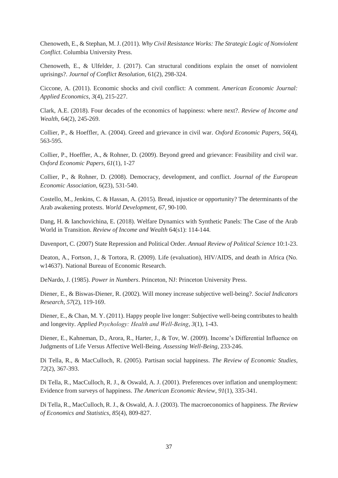Chenoweth, E., & Stephan, M. J. (2011). *Why Civil Resistance Works: The Strategic Logic of Nonviolent Conflict*. Columbia University Press.

Chenoweth, E., & Ulfelder, J. (2017). Can structural conditions explain the onset of nonviolent uprisings?. *Journal of Conflict Resolution*, 61(2), 298-324.

Ciccone, A. (2011). Economic shocks and civil conflict: A comment. *American Economic Journal: Applied Economics*, *3*(4), 215-227.

Clark, A.E. (2018). Four decades of the economics of happiness: where next?. *Review of Income and Wealth*, 64(2), 245-269.

Collier, P., & Hoeffler, A. (2004). Greed and grievance in civil war. *Oxford Economic Papers*, *56*(4), 563-595.

Collier, P., Hoeffler, A., & Rohner, D. (2009). Beyond greed and grievance: Feasibility and civil war. O*xford Economic Papers*, *61*(1), 1-27

Collier, P., & Rohner, D. (2008). Democracy, development, and conflict. *Journal of the European Economic Association*, 6(23), 531-540.

Costello, M., Jenkins, C. & Hassan, A. (2015). Bread, injustice or opportunity? The determinants of the Arab awakening protests. *World Development, 67,* 90-100.

Dang, H. & Ianchovichina, E. (2018). Welfare Dynamics with Synthetic Panels: The Case of the Arab World in Transition. *Review of Income and Wealth* 64(s1): 114-144.

Davenport, C. (2007) State Repression and Political Order. *Annual Review of Political Science* 10:1-23.

Deaton, A., Fortson, J., & Tortora, R. (2009). Life (evaluation), HIV/AIDS, and death in Africa (No. w14637). National Bureau of Economic Research.

DeNardo, J. (1985). *Power in Numbers*. Princeton, NJ: Princeton University Press.

Diener, E., & Biswas-Diener, R. (2002). Will money increase subjective well-being?. *Social Indicators Research*, *57*(2), 119-169.

Diener, E., & Chan, M. Y. (2011). Happy people live longer: Subjective well-being contributes to health and longevity. *Applied Psychology: Health and Well‐Being*, *3*(1), 1-43.

Diener, E., Kahneman, D., Arora, R., Harter, J., & Tov, W. (2009). Income's Differential Influence on Judgments of Life Versus Affective Well-Being. *Assessing Well-Being*, 233-246.

Di Tella, R., & MacCulloch, R. (2005). Partisan social happiness. *The Review of Economic Studies, 72*(2), 367-393.

Di Tella, R., MacCulloch, R. J., & Oswald, A. J. (2001). Preferences over inflation and unemployment: Evidence from surveys of happiness. *The American Economic Review*, *91*(1), 335-341.

Di Tella, R., MacCulloch, R. J., & Oswald, A. J. (2003). The macroeconomics of happiness. *The Review of Economics and Statistics*, *85*(4), 809-827.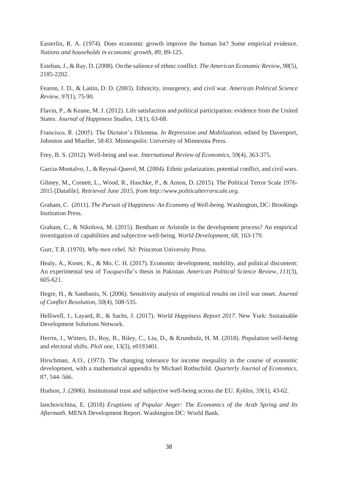Easterlin, R. A. (1974). Does economic growth improve the human lot? Some empirical evidence. *Nations and households in economic growth*, *89*, 89-125.

Esteban, J., & Ray, D. (2008). On the salience of ethnic conflict. *The American Economic Review*, *98*(5), 2185-2202.

Fearon, J. D., & Laitin, D. D. (2003). Ethnicity, insurgency, and civil war. *American Political Science Review*, *97*(1), 75-90.

Flavin, P., & Keane, M. J. (2012). Life satisfaction and political participation: evidence from the United States. *Journal of Happiness Studies, 13*(1), 63-68.

Francisco, R. (2005). The Dictator's Dilemma. *In Repression and Mobilization*, edited by Davenport, Johnston and Mueller, 58-83. Minneapolis: University of Minnesota Press.

Frey, B. S. (2012). Well-being and war. *International Review of Economics*, 59(4), 363-375.

Garcia-Montalvo, J., & Reynal-Querol, M. (2004). Ethnic polarization, potential conflict, and civil wars.

Gibney, M., Cornett, L., Wood, R., Haschke, P., & Arnon, D. (2015). The Political Terror Scale 1976- 2015 [Datafile]. *Retrieved June 2015, from http://www.politicalterrorscale.org.*

Graham, C. (2011). *The Pursuit of Happiness: An Economy of Well-being*. Washington, DC: Brookings Institution Press.

Graham, C., & Nikolova, M. (2015). Bentham or Aristotle in the development process? An empirical investigation of capabilities and subjective well-being. *World Development*, *68*, 163-179.

Gurr, T.R. (1970). *Why men rebel.* NJ: Princeton University Press.

Healy, A., Kosec, K., & Mo, C. H. (2017). Economic development, mobility, and political discontent: An experimental test of Tocqueville's thesis in Pakistan. *American Political Science Review*, *111*(3), 605-621.

Hegre, H., & Sambanis, N. (2006). Sensitivity analysis of empirical results on civil war onset. *Journal of Conflict Resolution*, *50*(4), 508-535.

Helliwell, J., Layard, R., & Sachs, J. (2017). *World Happiness Report 2017*. New York: Sustainable Development Solutions Network.

Herrin, J., Witters, D., Roy, B., Riley, C., Liu, D., & Krumholz, H. M. (2018). Population well-being and electoral shifts. *PloS one*, 13(3), e0193401.

Hirschman, A.O., (1973). The changing tolerance for income inequality in the course of economic development, with a mathematical appendix by Michael Rothschild. *Quarterly Journal of Economics*, 87, 544–566.

Hudson, J. (2006). Institutional trust and subjective well-being across the EU. *Kyklos*, *59*(1), 43-62.

Ianchovichina, E. (2018) *Eruptions of Popular Anger: The Economics of the Arab Spring and Its Aftermath.* MENA Development Report. Washington DC: World Bank.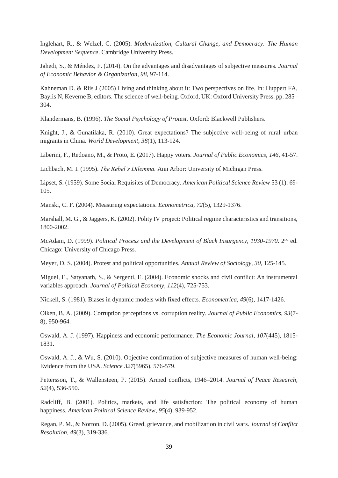Inglehart, R., & Welzel, C. (2005). *Modernization, Cultural Change, and Democracy: The Human Development Sequence*. Cambridge University Press.

Jahedi, S., & Méndez, F. (2014). On the advantages and disadvantages of subjective measures. *Journal of Economic Behavior & Organization*, *98*, 97-114.

Kahneman D. & Riis J (2005) Living and thinking about it: Two perspectives on life. In: Huppert FA, Baylis N, Keverne B, editors. The science of well-being. Oxford, UK: Oxford University Press. pp. 285– 304.

Klandermans, B. (1996). *The Social Psychology of Protest.* Oxford: Blackwell Publishers.

Knight, J., & Gunatilaka, R. (2010). Great expectations? The subjective well-being of rural–urban migrants in China. *World Development*, *38*(1), 113-124.

Liberini, F., Redoano, M., & Proto, E. (2017). Happy voters*. Journal of Public Economics, 146*, 41-57.

Lichbach, M. I. (1995). *The Rebel's Dilemma.* Ann Arbor: University of Michigan Press.

Lipset, S. (1959). Some Social Requisites of Democracy. *American Political Science Review* 53 (1): 69- 105.

Manski, C. F. (2004). Measuring expectations. *Econometrica*, *72*(5), 1329-1376.

Marshall, M. G., & Jaggers, K. (2002). Polity IV project: Political regime characteristics and transitions, 1800-2002.

McAdam, D. (1999). *Political Process and the Development of Black Insurgency, 1930-1970*. 2nd ed. Chicago: University of Chicago Press.

Meyer, D. S. (2004). Protest and political opportunities. *Annual Review of Sociology, 30*, 125-145.

Miguel, E., Satyanath, S., & Sergenti, E. (2004). Economic shocks and civil conflict: An instrumental variables approach. *Journal of Political Economy*, *112*(4), 725-753.

Nickell, S. (1981). Biases in dynamic models with fixed effects. *Econometrica, 49*(6), 1417-1426.

Olken, B. A. (2009). Corruption perceptions vs. corruption reality. *Journal of Public Economics, 93*(7- 8), 950-964.

Oswald, A. J. (1997). Happiness and economic performance. *The Economic Journal*, *107*(445), 1815- 1831.

Oswald, A. J., & Wu, S. (2010). Objective confirmation of subjective measures of human well-being: Evidence from the USA. *Science 327*(5965), 576-579.

Pettersson, T., & Wallensteen, P. (2015). Armed conflicts, 1946–2014. *Journal of Peace Research, 52*(4), 536-550.

Radcliff, B. (2001). Politics, markets, and life satisfaction: The political economy of human happiness. *American Political Science Review*, *95*(4), 939-952.

Regan, P. M., & Norton, D. (2005). Greed, grievance, and mobilization in civil wars. *Journal of Conflict Resolution*, *49*(3), 319-336.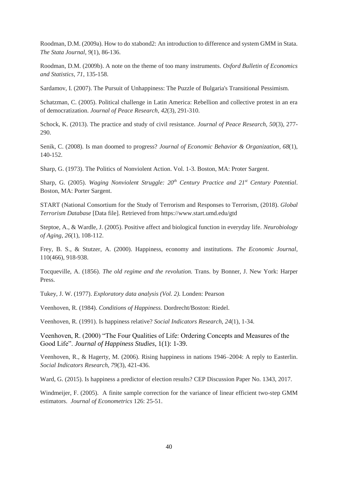Roodman, D.M. (2009a). How to do xtabond2: An introduction to difference and system GMM in Stata. *The Stata Journal, 9*(1), 86-136.

Roodman, D.M. (2009b). A note on the theme of too many instruments. *Oxford Bulletin of Economics and Statistics, 71*, 135-158.

Sardamov, I. (2007). The Pursuit of Unhappiness: The Puzzle of Bulgaria's Transitional Pessimism.

Schatzman, C. (2005). Political challenge in Latin America: Rebellion and collective protest in an era of democratization. *Journal of Peace Research*, *42*(3), 291-310.

Schock, K. (2013). The practice and study of civil resistance. *Journal of Peace Research, 50*(3), 277- 290.

Senik, C. (2008). Is man doomed to progress? *Journal of Economic Behavior & Organization*, *68*(1), 140-152.

Sharp, G. (1973). The Politics of Nonviolent Action. Vol. 1-3. Boston, MA: Proter Sargent.

Sharp, G. (2005). *Waging Nonviolent Struggle: 20th Century Practice and 21st Century Potential*. Boston, MA: Porter Sargent.

START (National Consortium for the Study of Terrorism and Responses to Terrorism, (2018). *Global Terrorism Database* [Data file]. Retrieved from https://www.start.umd.edu/gtd

Steptoe, A., & Wardle, J. (2005). Positive affect and biological function in everyday life. *Neurobiology of Aging*, *26*(1), 108-112.

Frey, B. S., & Stutzer, A. (2000). Happiness, economy and institutions. *The Economic Journal*, 110(466), 918-938.

Tocqueville, A. (1856). *The old regime and the revolution.* Trans. by Bonner, J. New York: Harper Press.

Tukey, J. W. (1977). *Exploratory data analysis (Vol. 2).* Londen: Pearson

Veenhoven, R. (1984). *Conditions of Happiness.* Dordrecht/Boston: Riedel.

Veenhoven, R. (1991). Is happiness relative? *Social Indicators Research*, *24*(1), 1-34.

Veenhoven, R. (2000) "The Four Qualities of Life: Ordering Concepts and Measures of the Good Life". *Journal of Happiness Studies*, 1(1): 1-39.

Veenhoven, R., & Hagerty, M. (2006). Rising happiness in nations 1946–2004: A reply to Easterlin. *Social Indicators Research*, *79*(3), 421-436.

Ward, G. (2015). Is happiness a predictor of election results? CEP Discussion Paper No. 1343, 2017.

Windmeijer, F. (2005). A finite sample correction for the variance of linear efficient two-step GMM estimators. *Journal of Econometrics* 126: 25-51.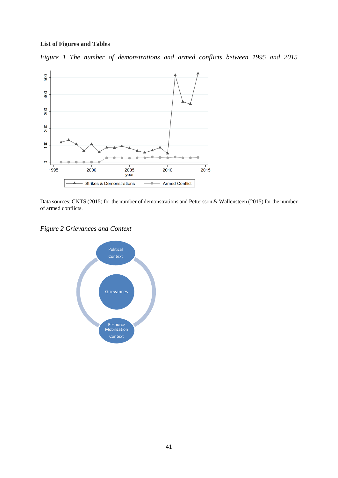## **List of Figures and Tables**

*Figure 1 The number of demonstrations and armed conflicts between 1995 and 2015*



Data sources: CNTS (2015) for the number of demonstrations and Pettersson & Wallensteen (2015) for the number of armed conflicts.

*Figure 2 Grievances and Context*

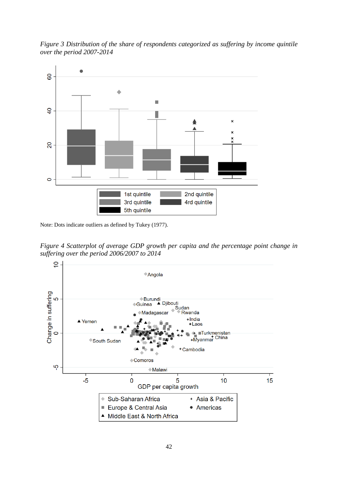*Figure 3 Distribution of the share of respondents categorized as suffering by income quintile over the period 2007-2014* 



Note: Dots indicate outliers as defined by Tukey (1977).

*Figure 4 Scatterplot of average GDP growth per capita and the percentage point change in suffering over the period 2006/2007 to 2014* 

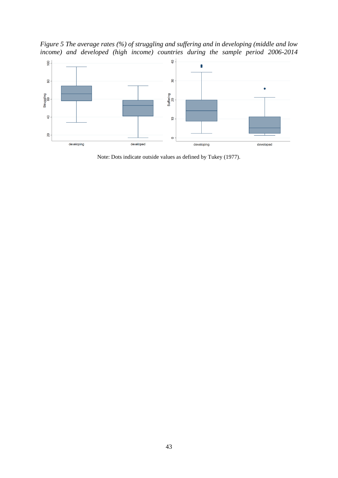*Figure 5 The average rates (%) of struggling and suffering and in developing (middle and low income) and developed (high income) countries during the sample period 2006-2014* 



Note: Dots indicate outside values as defined by Tukey (1977).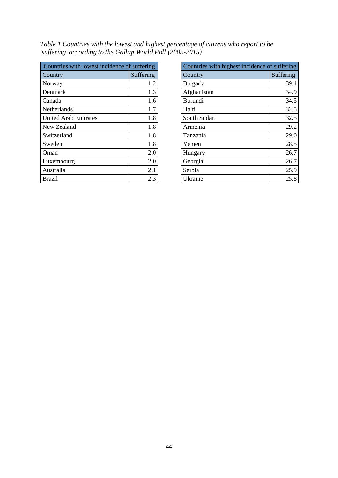*Table 1 Countries with the lowest and highest percentage of citizens who report to be 'suffering' according to the Gallup World Poll (2005-2015)* 

| Countries with lowest incidence of suffering |           | Countries with highest incidence of suffering |                  |
|----------------------------------------------|-----------|-----------------------------------------------|------------------|
| Country                                      | Suffering | Country                                       | <b>Suffering</b> |
| Norway                                       | 1.2       | Bulgaria                                      | 39.1             |
| Denmark                                      | 1.3       | Afghanistan                                   | 34.9             |
| Canada                                       | 1.6       | Burundi                                       | 34.5             |
| Netherlands                                  | 1.7       | Haiti                                         | 32.5             |
| <b>United Arab Emirates</b>                  | 1.8       | South Sudan                                   | 32.5             |
| New Zealand                                  | 1.8       | Armenia                                       | 29.2             |
| Switzerland                                  | 1.8       | Tanzania                                      | 29.0             |
| Sweden                                       | 1.8       | Yemen                                         | 28.5             |
| Oman                                         | 2.0       | Hungary                                       | 26.7             |
| Luxembourg                                   | 2.0       | Georgia                                       | 26.7             |
| Australia                                    | 2.1       | Serbia                                        | 25.9             |
| <b>Brazil</b>                                | 2.3       | Ukraine                                       | 25.8             |

| Countries with lowest incidence of suffering |           | Countries with highest incidence of suffering |                  |
|----------------------------------------------|-----------|-----------------------------------------------|------------------|
| Country                                      | Suffering | Country                                       | <b>Suffering</b> |
| Norway                                       | 1.2       | Bulgaria                                      | 39.1             |
| Denmark                                      | 1.3       | Afghanistan                                   | 34.9             |
| Canada                                       | 1.6       | Burundi                                       | 34.5             |
| Netherlands                                  | 1.7       | Haiti                                         | 32.5             |
| United Arab Emirates                         | 1.8       | South Sudan                                   | 32.5             |
| <b>New Zealand</b>                           | 1.8       | Armenia                                       | 29.2             |
| Switzerland                                  | 1.8       | Tanzania                                      | 29.0             |
| Sweden                                       | 1.8       | Yemen                                         | 28.5             |
| <b>Oman</b>                                  | 2.0       | Hungary                                       | 26.7             |
| Luxembourg                                   | 2.0       | Georgia                                       | 26.7             |
| Australia                                    | 2.1       | Serbia                                        | 25.9             |
| Brazil                                       | 2.3       | Ukraine                                       | 25.8             |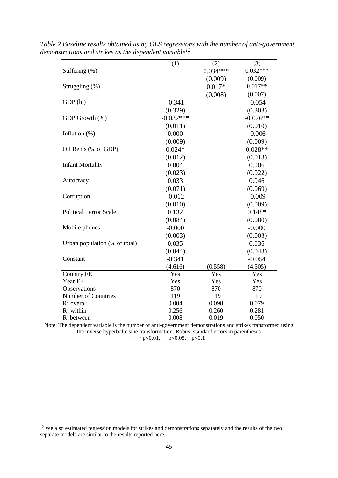|                               | (1)         | (2)        | (3)        |
|-------------------------------|-------------|------------|------------|
| Suffering (%)                 |             | $0.034***$ | $0.032***$ |
|                               |             | (0.009)    | (0.009)    |
| Struggling (%)                |             | $0.017*$   | $0.017**$  |
|                               |             | (0.008)    | (0.007)    |
| GDP(ln)                       | $-0.341$    |            | $-0.054$   |
|                               | (0.329)     |            | (0.303)    |
| GDP Growth (%)                | $-0.032***$ |            | $-0.026**$ |
|                               | (0.011)     |            | (0.010)    |
| Inflation $(\%)$              | 0.000       |            | $-0.006$   |
|                               | (0.009)     |            | (0.009)    |
| Oil Rents (% of GDP)          | $0.024*$    |            | $0.028**$  |
|                               | (0.012)     |            | (0.013)    |
| <b>Infant Mortality</b>       | 0.004       |            | 0.006      |
|                               | (0.023)     |            | (0.022)    |
| Autocracy                     | 0.033       |            | 0.046      |
|                               | (0.071)     |            | (0.069)    |
| Corruption                    | $-0.012$    |            | $-0.009$   |
|                               | (0.010)     |            | (0.009)    |
| <b>Political Terror Scale</b> | 0.132       |            | $0.148*$   |
|                               | (0.084)     |            | (0.080)    |
| Mobile phones                 | $-0.000$    |            | $-0.000$   |
|                               | (0.003)     |            | (0.003)    |
| Urban population (% of total) | 0.035       |            | 0.036      |
|                               | (0.044)     |            | (0.043)    |
| Constant                      | $-0.341$    |            | $-0.054$   |
|                               | (4.616)     | (0.558)    | (4.505)    |
| <b>Country FE</b>             | Yes         | Yes        | Yes        |
| Year FE                       | Yes         | Yes        | Yes        |
| <b>Observations</b>           | 870         | 870        | 870        |
| Number of Countries           | 119         | 119        | 119        |
| $R^2$ overall                 | 0.004       | 0.098      | 0.079      |
| $R^2$ within                  | 0.256       | 0.260      | 0.281      |
| $R^2$ between                 | 0.008       | 0.019      | 0.050      |

*Table 2 Baseline results obtained using OLS regressions with the number of anti-government demonstrations and strikes as the dependent variable<sup>12</sup>*

Note: The dependent variable is the number of anti-government demonstrations and strikes transformed using the inverse hyperbolic sine transformation. Robust standard errors in parentheses

\*\*\* p<0.01, \*\* p<0.05, \* p<0.1

 $\overline{\phantom{a}}$ 

 $12$  We also estimated regression models for strikes and demonstrations separately and the results of the two separate models are similar to the results reported here.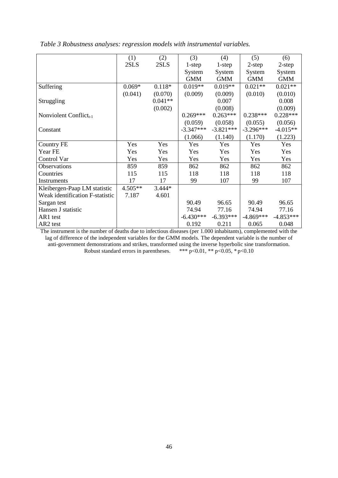|                                 | (1)       | (2)       | (3)         | (4)         | (5)         | (6)         |
|---------------------------------|-----------|-----------|-------------|-------------|-------------|-------------|
|                                 | 2SLS      | 2SLS      | $1$ -step   | $1$ -step   | $2$ -step   | $2$ -step   |
|                                 |           |           | System      | System      | System      | System      |
|                                 |           |           | <b>GMM</b>  | <b>GMM</b>  | <b>GMM</b>  | <b>GMM</b>  |
| Suffering                       | $0.069*$  | $0.118*$  | $0.019**$   | $0.019**$   | $0.021**$   | $0.021**$   |
|                                 | (0.041)   | (0.070)   | (0.009)     | (0.009)     | (0.010)     | (0.010)     |
| Struggling                      |           | $0.041**$ |             | 0.007       |             | 0.008       |
|                                 |           | (0.002)   |             | (0.008)     |             | (0.009)     |
| Nonviolent Conflict $_{t-1}$    |           |           | $0.269***$  | $0.263***$  | $0.238***$  | $0.228***$  |
|                                 |           |           | (0.059)     | (0.058)     | (0.055)     | (0.056)     |
| Constant                        |           |           | $-3.347***$ | $-3.821***$ | $-3.296***$ | $-4.015**$  |
|                                 |           |           | (1.066)     | (1.140)     | (1.170)     | (1.223)     |
| <b>Country FE</b>               | Yes       | Yes       | Yes         | Yes         | Yes         | Yes         |
| Year FE                         | Yes       | Yes       | Yes         | Yes         | Yes         | Yes         |
| Control Var                     | Yes       | Yes       | Yes         | Yes         | Yes         | Yes         |
| Observations                    | 859       | 859       | 862         | 862         | 862         | 862         |
| Countries                       | 115       | 115       | 118         | 118         | 118         | 118         |
| Instruments                     | 17        | 17        | 99          | 107         | 99          | 107         |
| Kleibergen-Paap LM statistic    | $4.505**$ | $3.444*$  |             |             |             |             |
| Weak identification F-statistic | 7.187     | 4.601     |             |             |             |             |
| Sargan test                     |           |           | 90.49       | 96.65       | 90.49       | 96.65       |
| Hansen J statistic              |           |           | 74.94       | 77.16       | 74.94       | 77.16       |
| AR1 test                        |           |           | $-6.430***$ | $-6.393***$ | $-4.869***$ | $-4.853***$ |
| AR2 test                        |           |           | 0.192       | 0.211       | 0.065       | 0.048       |

*Table 3 Robustness analyses: regression models with instrumental variables.*

The instrument is the number of deaths due to infectious diseases (per 1.000 inhabitants), complemented with the lag of difference of the independent variables for the GMM models. The dependent variable is the number of anti-government demonstrations and strikes, transformed using the inverse hyperbolic sine transformation.<br>Robust standard errors in parentheses. \*\*\*  $p<0.01$ , \*\*  $p<0.05$ , \*  $p<0.10$ Robust standard errors in parentheses.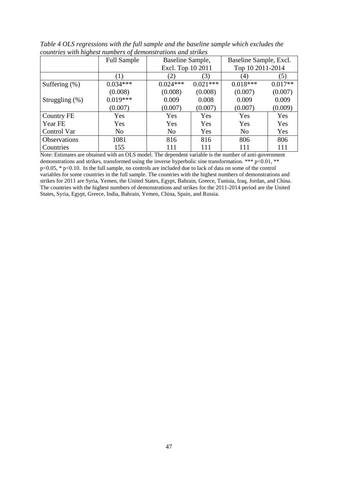|                     | <b>Full Sample</b> | Baseline Sample,  |            | Baseline Sample, Excl. |           |  |
|---------------------|--------------------|-------------------|------------|------------------------|-----------|--|
|                     |                    | Excl. Top 10 2011 |            | Top 10 2011-2014       |           |  |
|                     | (1)                | (2)               | (3)        | $\left( 4\right)$      | (5)       |  |
| Suffering $(\%)$    | $0.034***$         | $0.024***$        | $0.021***$ | $0.018***$             | $0.017**$ |  |
|                     | (0.008)            | (0.008)           | (0.008)    | (0.007)                | (0.007)   |  |
| Struggling $(\%)$   | $0.019***$         | 0.009             | 0.008      | 0.009                  | 0.009     |  |
|                     | (0.007)            | (0.007)           | (0.007)    | (0.007)                | (0.009)   |  |
| Country FE          | Yes                | Yes               | Yes        | Yes                    | Yes       |  |
| Year FE             | Yes                | Yes               | Yes        | Yes                    | Yes       |  |
| Control Var         | N <sub>o</sub>     | N <sub>o</sub>    | Yes        | N <sub>o</sub>         | Yes       |  |
| <b>Observations</b> | 1081               | 816               | 816        | 806                    | 806       |  |
| Countries           | 155                | 111               | 111        | 111                    | 111       |  |

*Table 4 OLS regressions with the full sample and the baseline sample which excludes the countries with highest numbers of demonstrations and strikes*

Note: Estimates are obtained with an OLS model. The dependent variable is the number of anti-government demonstrations and strikes, transformed using the inverse hyperbolic sine transformation. \*\*\* p<0.01, \*\* p<0.05, \* p<0.10. In the full sample, no controls are included due to lack of data on some of the control variables for some countries in the full sample. The countries with the highest numbers of demonstrations and strikes for 2011 are Syria, Yemen, the United States, Egypt, Bahrain, Greece, Tunisia, Iraq, Jordan, and China. The countries with the highest numbers of demonstrations and strikes for the 2011-2014 period are the United States, Syria, Egypt, Greece, India, Bahrain, Yemen, China, Spain, and Russia.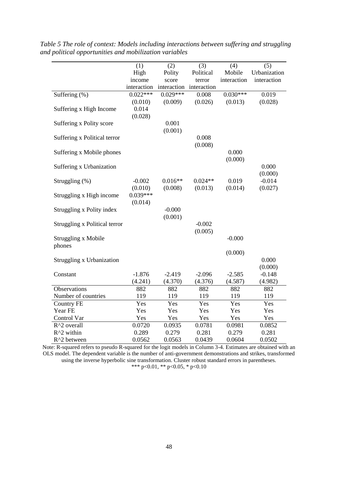|                               | (1)         | (2)         | (3)         | (4)         | (5)          |
|-------------------------------|-------------|-------------|-------------|-------------|--------------|
|                               | High        | Polity      | Political   | Mobile      | Urbanization |
|                               | income      | score       | terror      | interaction | interaction  |
|                               | interaction | interaction | interaction |             |              |
| Suffering (%)                 | $0.022***$  | $0.029***$  | 0.008       | $0.030***$  | 0.019        |
|                               | (0.010)     | (0.009)     | (0.026)     | (0.013)     | (0.028)      |
| Suffering x High Income       | 0.014       |             |             |             |              |
|                               | (0.028)     |             |             |             |              |
| Suffering x Polity score      |             | 0.001       |             |             |              |
|                               |             | (0.001)     |             |             |              |
| Suffering x Political terror  |             |             | 0.008       |             |              |
|                               |             |             | (0.008)     |             |              |
| Suffering x Mobile phones     |             |             |             | 0.000       |              |
|                               |             |             |             | (0.000)     |              |
| Suffering x Urbanization      |             |             |             |             | 0.000        |
|                               |             |             |             |             | (0.000)      |
| Struggling (%)                | $-0.002$    | $0.016**$   | $0.024**$   | 0.019       | $-0.014$     |
|                               | (0.010)     | (0.008)     | (0.013)     | (0.014)     | (0.027)      |
| Struggling x High income      | $0.039***$  |             |             |             |              |
|                               | (0.014)     |             |             |             |              |
| Struggling x Polity index     |             | $-0.000$    |             |             |              |
|                               |             | (0.001)     |             |             |              |
| Struggling x Political terror |             |             | $-0.002$    |             |              |
|                               |             |             | (0.005)     |             |              |
| Struggling x Mobile           |             |             |             | $-0.000$    |              |
| phones                        |             |             |             |             |              |
|                               |             |             |             | (0.000)     |              |
| Struggling x Urbanization     |             |             |             |             | 0.000        |
|                               |             |             |             |             | (0.000)      |
| Constant                      | $-1.876$    | $-2.419$    | $-2.096$    | $-2.585$    | $-0.148$     |
|                               | (4.241)     | (4.370)     | (4.376)     | (4.587)     | (4.982)      |
| Observations                  | 882         | 882         | 882         | 882         | 882          |
| Number of countries           | 119         | 119         | 119         | 119         | 119          |
| <b>Country FE</b>             | Yes         | Yes         | Yes         | Yes         | Yes          |
| Year FE                       | Yes         | Yes         | Yes         | Yes         | Yes          |
| Control Var                   | Yes         | Yes         | Yes         | Yes         | Yes          |
| R^2 overall                   | 0.0720      | 0.0935      | 0.0781      | 0.0981      | 0.0852       |
| R^2 within                    | 0.289       | 0.279       | 0.281       | 0.279       | 0.281        |
| R^2 between                   | 0.0562      | 0.0563      | 0.0439      | 0.0604      | 0.0502       |

*Table 5 The role of context: Models including interactions between suffering and struggling and political opportunities and mobilization variables* 

Note: R-squared refers to pseudo R-squared for the logit models in Column 3-4. Estimates are obtained with an OLS model. The dependent variable is the number of anti-government demonstrations and strikes, transformed using the inverse hyperbolic sine transformation. Cluster robust standard errors in parentheses.

\*\*\* p<0.01, \*\* p<0.05, \* p<0.10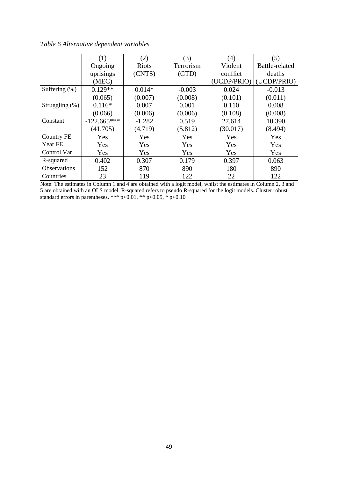*Table 6 Alternative dependent variables*

|                   | (1)           | (2)          | (3)       | (4)         | (5)            |
|-------------------|---------------|--------------|-----------|-------------|----------------|
|                   | Ongoing       | <b>Riots</b> | Terrorism | Violent     | Battle-related |
|                   | uprisings     | (CNTS)       | (GTD)     | conflict    | deaths         |
|                   | (MEC)         |              |           | (UCDP/PRIO) | (UCDP/PRIO)    |
| Suffering $(\%)$  | $0.129**$     | $0.014*$     | $-0.003$  | 0.024       | $-0.013$       |
|                   | (0.065)       | (0.007)      | (0.008)   | (0.101)     | (0.011)        |
| Struggling $(\%)$ | $0.116*$      | 0.007        | 0.001     | 0.110       | 0.008          |
|                   | (0.066)       | (0.006)      | (0.006)   | (0.108)     | (0.008)        |
| Constant          | $-122.665***$ | $-1.282$     | 0.519     | 27.614      | 10.390         |
|                   | (41.705)      | (4.719)      | (5.812)   | (30.017)    | (8.494)        |
| <b>Country FE</b> | Yes           | Yes          | Yes       | Yes         | Yes            |
| Year FE           | Yes           | Yes          | Yes       | Yes         | Yes            |
| Control Var       | Yes           | Yes          | Yes       | Yes         | Yes            |
| R-squared         | 0.402         | 0.307        | 0.179     | 0.397       | 0.063          |
| Observations      | 152           | 870          | 890       | 180         | 890            |
| Countries         | 23            | 119          | 122       | 22          | 122            |

Note: The estimates in Column 1 and 4 are obtained with a logit model, whilst the estimates in Column 2, 3 and 5 are obtained with an OLS model. R-squared refers to pseudo R-squared for the logit models. Cluster robust standard errors in parentheses. \*\*\*  $p<0.01$ , \*\*  $p<0.05$ , \*  $p<0.10$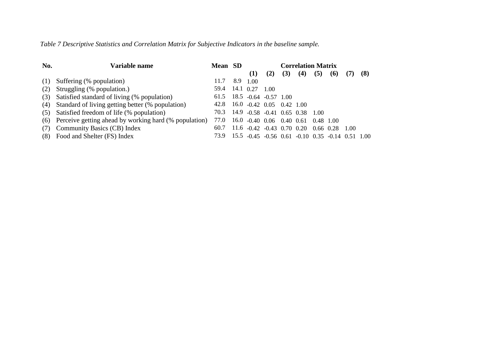*Table 7 Descriptive Statistics and Correlation Matrix for Subjective Indicators in the baseline sample.* 

| No. | Variable name                                             |                                      | Mean SD | <b>Correlation Matrix</b>                              |     |     |     |     |            |     |
|-----|-----------------------------------------------------------|--------------------------------------|---------|--------------------------------------------------------|-----|-----|-----|-----|------------|-----|
|     |                                                           |                                      |         | (1)                                                    | (2) | (3) | (4) | (5) | <b>(6)</b> | (8) |
| (1) | Suffering (% population)                                  | 11.7                                 |         | 8.9 1.00                                               |     |     |     |     |            |     |
|     | (2) Struggling (% population.)                            | 59.4                                 |         | 14.1 0.27 1.00                                         |     |     |     |     |            |     |
|     | (3) Satisfied standard of living (% population)           | $61.5$ $18.5$ $-0.64$ $-0.57$ $1.00$ |         |                                                        |     |     |     |     |            |     |
|     | (4) Standard of living getting better (% population)      | 42.8 16.0 -0.42 0.05 0.42 1.00       |         |                                                        |     |     |     |     |            |     |
|     | (5) Satisfied freedom of life (% population)              |                                      |         | 70.3 14.9 -0.58 -0.41 0.65 0.38 1.00                   |     |     |     |     |            |     |
|     | (6) Perceive getting ahead by working hard (% population) | 77.0                                 |         | 16.0 -0.40 0.06 0.40 0.61 0.48 1.00                    |     |     |     |     |            |     |
|     | (7) Community Basics (CB) Index                           | 60.7                                 |         | $11.6 -0.42 -0.43$ 0.70 0.20 0.66 0.28 1.00            |     |     |     |     |            |     |
|     | (8) Food and Shelter (FS) Index                           | 73.9                                 |         | $15.5 -0.45 -0.56$ 0.61 $-0.10$ 0.35 $-0.14$ 0.51 1.00 |     |     |     |     |            |     |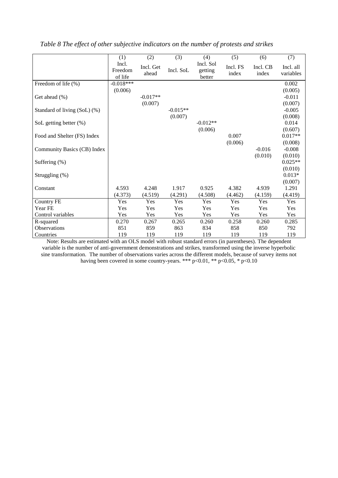|                              | (1)                         | (2)                | (3)        | (4)                            | (5)               | (6)               | (7)                    |
|------------------------------|-----------------------------|--------------------|------------|--------------------------------|-------------------|-------------------|------------------------|
|                              | Incl.<br>Freedom<br>of life | Incl. Get<br>ahead | Incl. SoL  | Incl. Sol<br>getting<br>better | Incl. FS<br>index | Incl. CB<br>index | Incl. all<br>variables |
| Freedom of life (%)          | $-0.018***$                 |                    |            |                                |                   |                   | 0.002                  |
|                              | (0.006)                     |                    |            |                                |                   |                   | (0.005)                |
| Get ahead (%)                |                             | $-0.017**$         |            |                                |                   |                   | $-0.011$               |
|                              |                             | (0.007)            |            |                                |                   |                   | (0.007)                |
| Standard of living (SoL) (%) |                             |                    | $-0.015**$ |                                |                   |                   | $-0.005$               |
|                              |                             |                    | (0.007)    |                                |                   |                   | (0.008)                |
| SoL getting better (%)       |                             |                    |            | $-0.012**$                     |                   |                   | 0.014                  |
|                              |                             |                    |            | (0.006)                        |                   |                   | (0.607)                |
| Food and Shelter (FS) Index  |                             |                    |            |                                | 0.007             |                   | $0.017**$              |
|                              |                             |                    |            |                                | (0.006)           |                   | (0.008)                |
| Community Basics (CB) Index  |                             |                    |            |                                |                   | $-0.016$          | $-0.008$               |
|                              |                             |                    |            |                                |                   | (0.010)           | (0.010)                |
| Suffering $(\%)$             |                             |                    |            |                                |                   |                   | $0.025**$              |
|                              |                             |                    |            |                                |                   |                   | (0.010)                |
| Struggling (%)               |                             |                    |            |                                |                   |                   | $0.013*$               |
|                              |                             |                    |            |                                |                   |                   | (0.007)                |
| Constant                     | 4.593                       | 4.248              | 1.917      | 0.925                          | 4.382             | 4.939             | 1.291                  |
|                              | (4.373)                     | (4.519)            | (4.291)    | (4.508)                        | (4.462)           | (4.159)           | (4.419)                |
| <b>Country FE</b>            | Yes                         | Yes                | Yes        | Yes                            | Yes               | Yes               | Yes                    |
| Year FE                      | Yes                         | Yes                | Yes        | Yes                            | Yes               | Yes               | Yes                    |
| Control variables            | Yes                         | Yes                | Yes        | Yes                            | Yes               | Yes               | Yes                    |
| R-squared                    | 0.270                       | 0.267              | 0.265      | 0.260                          | 0.258             | 0.260             | 0.285                  |
| Observations                 | 851                         | 859                | 863        | 834                            | 858               | 850               | 792                    |
| Countries                    | 119                         | 119                | 119        | 119                            | 119               | 119               | 119                    |

*Table 8 The effect of other subjective indicators on the number of protests and strikes*

Note: Results are estimated with an OLS model with robust standard errors (in parentheses). The dependent variable is the number of anti-government demonstrations and strikes, transformed using the inverse hyperbolic sine transformation. The number of observations varies across the different models, because of survey items not having been covered in some country-years. \*\*\* p<0.01, \*\* p<0.05, \* p<0.10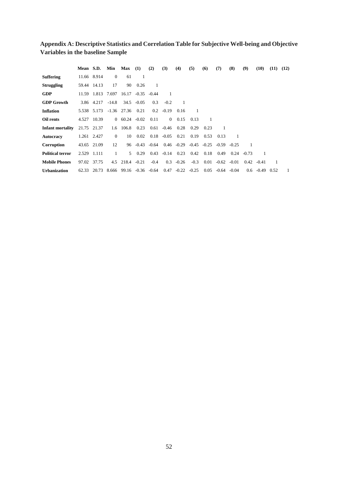# **Appendix A: Descriptive Statistics and Correlation Table for Subjective Well-being and Objective Variables in the baseline Sample**

|                         |             | Mean S.D. Min Max (1)               |                |                         |               | (2)                | (3)            | (4)                      | (5)     | (6)  | (7)            | (8)     | (9)     | (10)         | (11) | (12) |
|-------------------------|-------------|-------------------------------------|----------------|-------------------------|---------------|--------------------|----------------|--------------------------|---------|------|----------------|---------|---------|--------------|------|------|
| <b>Suffering</b>        |             | 11.66 8.914                         | $\overline{0}$ | 61                      | -1            |                    |                |                          |         |      |                |         |         |              |      |      |
| <b>Struggling</b>       | 59.44 14.13 |                                     | 17             | 90                      | 0.26          | -1                 |                |                          |         |      |                |         |         |              |      |      |
| <b>GDP</b>              |             | 11.59 1.813 7.697 16.17 -0.35 -0.44 |                |                         |               |                    |                |                          |         |      |                |         |         |              |      |      |
| <b>GDP Growth</b>       |             | 3.86 4.217 -14.8 34.5 -0.05         |                |                         |               | 0.3                | $-0.2$         |                          |         |      |                |         |         |              |      |      |
| <b>Inflation</b>        |             | 5.538 5.173 -1.36 27.36 0.21        |                |                         |               |                    | $0.2 -0.19$    | 0.16                     |         |      |                |         |         |              |      |      |
| Oil rents               |             | 4.527 10.39                         |                | $0, 60.24, -0.02, 0.11$ |               |                    | $\overline{0}$ | 0.15                     | 0.13    | -1   |                |         |         |              |      |      |
| <b>Infant mortality</b> | 21.75 21.37 |                                     |                | 1.6 106.8 0.23          |               |                    | $0.61 - 0.46$  | 0.28                     | 0.29    | 0.23 |                |         |         |              |      |      |
| Autocracy               |             | 1.261 2.427                         | $\overline{0}$ | 10                      | 0.02          |                    | $0.18 - 0.05$  | 0.21                     | 0.19    | 0.53 | 0.13           |         |         |              |      |      |
| Corruption              | 43.65 21.09 |                                     | 12             |                         |               | $96 - 0.43 - 0.64$ |                | $0.46 -0.29 -0.45 -0.25$ |         |      | $-0.59$        | $-0.25$ |         |              |      |      |
| <b>Political terror</b> | 2.529 1.111 |                                     | 1              |                         | $5\quad 0.29$ | 0.43               | $-0.14$        | 0.23                     | 0.42    | 0.18 | 0.49           | 0.24    | $-0.73$ |              |      |      |
| <b>Mobile Phones</b>    | 97.02 37.75 |                                     |                | $4.5$ $218.4$ $-0.21$   |               | $-0.4$             | 0.3            | $-0.26$                  | $-0.3$  | 0.01 | $-0.62 - 0.01$ |         |         | $0.42 -0.41$ | 1    |      |
| <b>Urbanization</b>     |             | 62.33 20.73 8.666 99.16 -0.36 -0.64 |                |                         |               |                    | 0.47           | $-0.22$                  | $-0.25$ | 0.05 | $-0.64 - 0.04$ |         |         | $0.6 - 0.49$ | 0.52 |      |